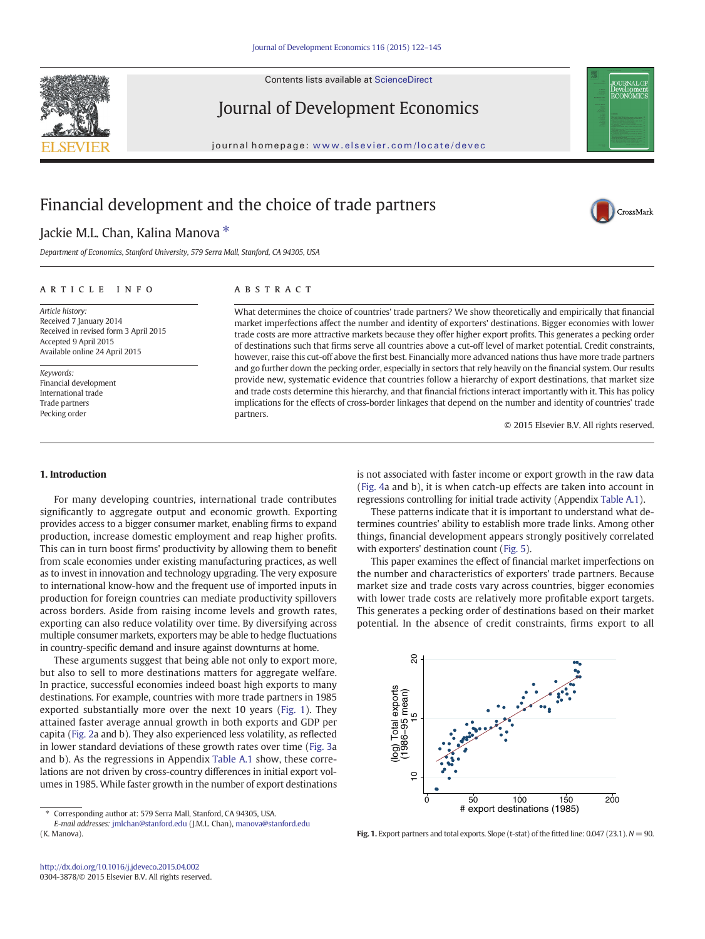Contents lists available at [ScienceDirect](http://www.sciencedirect.com/science/journal/03043878)



Journal of Development Economics

journal homepage: <www.elsevier.com/locate/devec>



CrossMark

# Financial development and the choice of trade partners

## Jackie M.L. Chan, Kalina Manova \*

Department of Economics, Stanford University, 579 Serra Mall, Stanford, CA 94305, USA

#### article info abstract

Article history: Received 7 January 2014 Received in revised form 3 April 2015 Accepted 9 April 2015 Available online 24 April 2015

Keywords: Financial development International trade Trade partners Pecking order

What determines the choice of countries' trade partners? We show theoretically and empirically that financial market imperfections affect the number and identity of exporters' destinations. Bigger economies with lower trade costs are more attractive markets because they offer higher export profits. This generates a pecking order of destinations such that firms serve all countries above a cut-off level of market potential. Credit constraints, however, raise this cut-off above the first best. Financially more advanced nations thus have more trade partners and go further down the pecking order, especially in sectors that rely heavily on the financial system. Our results provide new, systematic evidence that countries follow a hierarchy of export destinations, that market size and trade costs determine this hierarchy, and that financial frictions interact importantly with it. This has policy implications for the effects of cross-border linkages that depend on the number and identity of countries' trade partners.

© 2015 Elsevier B.V. All rights reserved.

#### 1. Introduction

For many developing countries, international trade contributes significantly to aggregate output and economic growth. Exporting provides access to a bigger consumer market, enabling firms to expand production, increase domestic employment and reap higher profits. This can in turn boost firms' productivity by allowing them to benefit from scale economies under existing manufacturing practices, as well as to invest in innovation and technology upgrading. The very exposure to international know-how and the frequent use of imported inputs in production for foreign countries can mediate productivity spillovers across borders. Aside from raising income levels and growth rates, exporting can also reduce volatility over time. By diversifying across multiple consumer markets, exporters may be able to hedge fluctuations in country-specific demand and insure against downturns at home.

These arguments suggest that being able not only to export more, but also to sell to more destinations matters for aggregate welfare. In practice, successful economies indeed boast high exports to many destinations. For example, countries with more trade partners in 1985 exported substantially more over the next 10 years (Fig. 1). They attained faster average annual growth in both exports and GDP per capita ([Fig. 2](#page-1-0)a and b). They also experienced less volatility, as reflected in lower standard deviations of these growth rates over time [\(Fig. 3a](#page-1-0) and b). As the regressions in Appendix [Table A.1](#page-19-0) show, these correlations are not driven by cross-country differences in initial export volumes in 1985. While faster growth in the number of export destinations

⁎ Corresponding author at: 579 Serra Mall, Stanford, CA 94305, USA.

is not associated with faster income or export growth in the raw data [\(Fig. 4a](#page-1-0) and b), it is when catch-up effects are taken into account in regressions controlling for initial trade activity (Appendix [Table A.1](#page-19-0)).

These patterns indicate that it is important to understand what determines countries' ability to establish more trade links. Among other things, financial development appears strongly positively correlated with exporters' destination count ([Fig. 5](#page-2-0)).

This paper examines the effect of financial market imperfections on the number and characteristics of exporters' trade partners. Because market size and trade costs vary across countries, bigger economies with lower trade costs are relatively more profitable export targets. This generates a pecking order of destinations based on their market potential. In the absence of credit constraints, firms export to all



Fig. 1. Export partners and total exports. Slope (t-stat) of the fitted line:  $0.047$  (23.1).  $N = 90$ .

E-mail addresses: [jmlchan@stanford.edu](mailto:jmlchan@stanford.edu) (J.M.L. Chan), [manova@stanford.edu](mailto:manova@stanford.edu) (K. Manova).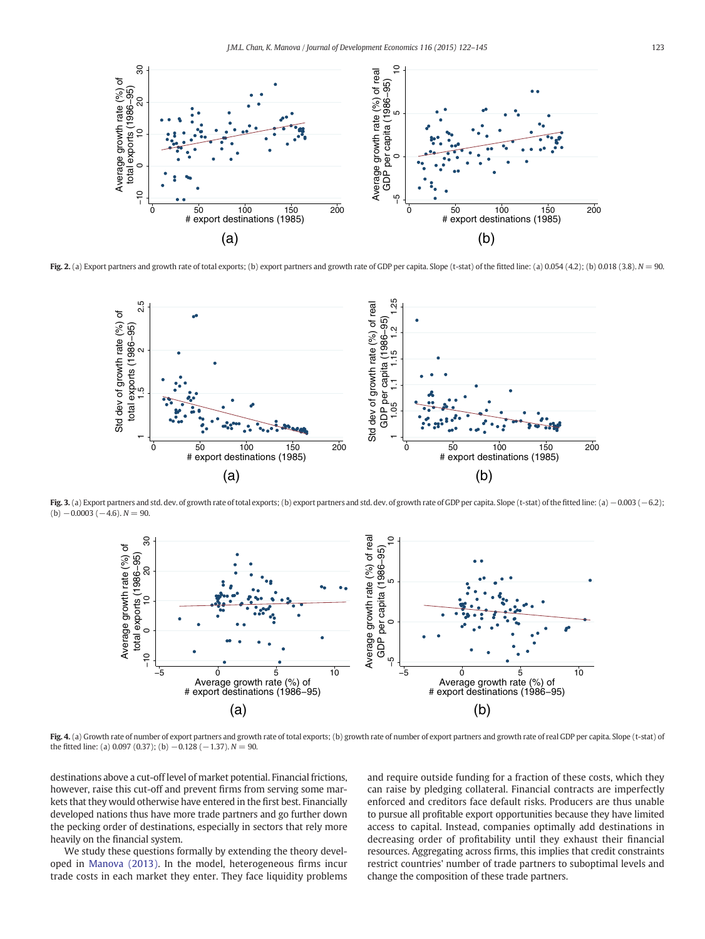<span id="page-1-0"></span>

Fig. 2. (a) Export partners and growth rate of total exports; (b) export partners and growth rate of GDP per capita. Slope (t-stat) of the fitted line: (a) 0.054 (4.2); (b) 0.018 (3.8).  $N = 90$ .



Fig. 3. (a) Export partners and std. dev. of growth rate of total exports; (b) export partners and std. dev. of growth rate of GDP per capita. Slope (t-stat) of the fitted line: (a) −0.003 (−6.2);  $(b) -0.0003 (-4.6)$ .  $N = 90$ .



Fig. 4. (a) Growth rate of number of export partners and growth rate of total exports; (b) growth rate of number of export partners and growth rate of real GDP per capita. Slope (t-stat) of the fitted line: (a) 0.097 (0.37); (b)  $-0.128$  ( $-1.37$ ).  $N = 90$ .

destinations above a cut-off level of market potential. Financial frictions, however, raise this cut-off and prevent firms from serving some markets that they would otherwise have entered in the first best. Financially developed nations thus have more trade partners and go further down the pecking order of destinations, especially in sectors that rely more heavily on the financial system.

We study these questions formally by extending the theory developed in [Manova \(2013\).](#page-23-0) In the model, heterogeneous firms incur trade costs in each market they enter. They face liquidity problems and require outside funding for a fraction of these costs, which they can raise by pledging collateral. Financial contracts are imperfectly enforced and creditors face default risks. Producers are thus unable to pursue all profitable export opportunities because they have limited access to capital. Instead, companies optimally add destinations in decreasing order of profitability until they exhaust their financial resources. Aggregating across firms, this implies that credit constraints restrict countries' number of trade partners to suboptimal levels and change the composition of these trade partners.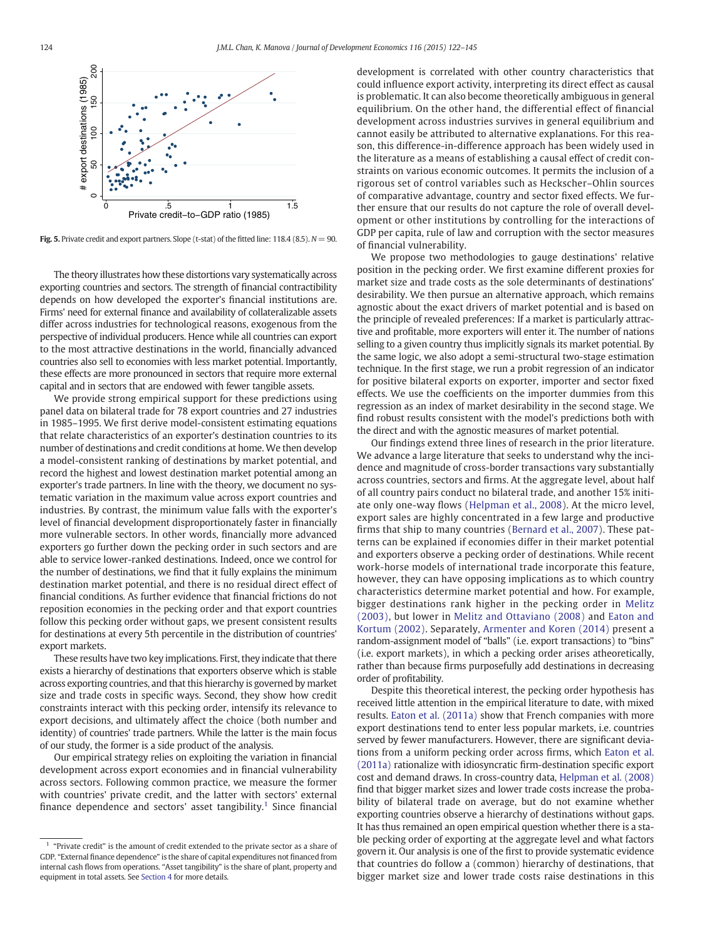<span id="page-2-0"></span>

Fig. 5. Private credit and export partners. Slope (t-stat) of the fitted line: 118.4 (8.5).  $N = 90$ .

The theory illustrates how these distortions vary systematically across exporting countries and sectors. The strength of financial contractibility depends on how developed the exporter's financial institutions are. Firms' need for external finance and availability of collateralizable assets differ across industries for technological reasons, exogenous from the perspective of individual producers. Hence while all countries can export to the most attractive destinations in the world, financially advanced countries also sell to economies with less market potential. Importantly, these effects are more pronounced in sectors that require more external capital and in sectors that are endowed with fewer tangible assets.

We provide strong empirical support for these predictions using panel data on bilateral trade for 78 export countries and 27 industries in 1985–1995. We first derive model-consistent estimating equations that relate characteristics of an exporter's destination countries to its number of destinations and credit conditions at home. We then develop a model-consistent ranking of destinations by market potential, and record the highest and lowest destination market potential among an exporter's trade partners. In line with the theory, we document no systematic variation in the maximum value across export countries and industries. By contrast, the minimum value falls with the exporter's level of financial development disproportionately faster in financially more vulnerable sectors. In other words, financially more advanced exporters go further down the pecking order in such sectors and are able to service lower-ranked destinations. Indeed, once we control for the number of destinations, we find that it fully explains the minimum destination market potential, and there is no residual direct effect of financial conditions. As further evidence that financial frictions do not reposition economies in the pecking order and that export countries follow this pecking order without gaps, we present consistent results for destinations at every 5th percentile in the distribution of countries' export markets.

These results have two key implications. First, they indicate that there exists a hierarchy of destinations that exporters observe which is stable across exporting countries, and that this hierarchy is governed by market size and trade costs in specific ways. Second, they show how credit constraints interact with this pecking order, intensify its relevance to export decisions, and ultimately affect the choice (both number and identity) of countries' trade partners. While the latter is the main focus of our study, the former is a side product of the analysis.

Our empirical strategy relies on exploiting the variation in financial development across export economies and in financial vulnerability across sectors. Following common practice, we measure the former with countries' private credit, and the latter with sectors' external finance dependence and sectors' asset tangibility.<sup>1</sup> Since financial development is correlated with other country characteristics that could influence export activity, interpreting its direct effect as causal is problematic. It can also become theoretically ambiguous in general equilibrium. On the other hand, the differential effect of financial development across industries survives in general equilibrium and cannot easily be attributed to alternative explanations. For this reason, this difference-in-difference approach has been widely used in the literature as a means of establishing a causal effect of credit constraints on various economic outcomes. It permits the inclusion of a rigorous set of control variables such as Heckscher–Ohlin sources of comparative advantage, country and sector fixed effects. We further ensure that our results do not capture the role of overall development or other institutions by controlling for the interactions of GDP per capita, rule of law and corruption with the sector measures of financial vulnerability.

We propose two methodologies to gauge destinations' relative position in the pecking order. We first examine different proxies for market size and trade costs as the sole determinants of destinations' desirability. We then pursue an alternative approach, which remains agnostic about the exact drivers of market potential and is based on the principle of revealed preferences: If a market is particularly attractive and profitable, more exporters will enter it. The number of nations selling to a given country thus implicitly signals its market potential. By the same logic, we also adopt a semi-structural two-stage estimation technique. In the first stage, we run a probit regression of an indicator for positive bilateral exports on exporter, importer and sector fixed effects. We use the coefficients on the importer dummies from this regression as an index of market desirability in the second stage. We find robust results consistent with the model's predictions both with the direct and with the agnostic measures of market potential.

Our findings extend three lines of research in the prior literature. We advance a large literature that seeks to understand why the incidence and magnitude of cross-border transactions vary substantially across countries, sectors and firms. At the aggregate level, about half of all country pairs conduct no bilateral trade, and another 15% initiate only one-way flows [\(Helpman et al., 2008](#page-23-0)). At the micro level, export sales are highly concentrated in a few large and productive firms that ship to many countries ([Bernard et al., 2007\)](#page-22-0). These patterns can be explained if economies differ in their market potential and exporters observe a pecking order of destinations. While recent work-horse models of international trade incorporate this feature, however, they can have opposing implications as to which country characteristics determine market potential and how. For example, bigger destinations rank higher in the pecking order in [Melitz](#page-23-0) [\(2003\)](#page-23-0), but lower in [Melitz and Ottaviano \(2008\)](#page-23-0) and [Eaton and](#page-22-0) [Kortum \(2002\)](#page-22-0). Separately, [Armenter and Koren \(2014\)](#page-22-0) present a random-assignment model of "balls" (i.e. export transactions) to "bins" (i.e. export markets), in which a pecking order arises atheoretically, rather than because firms purposefully add destinations in decreasing order of profitability.

Despite this theoretical interest, the pecking order hypothesis has received little attention in the empirical literature to date, with mixed results. [Eaton et al. \(2011a\)](#page-22-0) show that French companies with more export destinations tend to enter less popular markets, i.e. countries served by fewer manufacturers. However, there are significant deviations from a uniform pecking order across firms, which [Eaton et al.](#page-22-0) [\(2011a\)](#page-22-0) rationalize with idiosyncratic firm-destination specific export cost and demand draws. In cross-country data, [Helpman et al. \(2008\)](#page-23-0) find that bigger market sizes and lower trade costs increase the probability of bilateral trade on average, but do not examine whether exporting countries observe a hierarchy of destinations without gaps. It has thus remained an open empirical question whether there is a stable pecking order of exporting at the aggregate level and what factors govern it. Our analysis is one of the first to provide systematic evidence that countries do follow a (common) hierarchy of destinations, that bigger market size and lower trade costs raise destinations in this

<sup>1</sup> "Private credit" is the amount of credit extended to the private sector as a share of GDP. "External finance dependence" is the share of capital expenditures not financed from internal cash flows from operations. "Asset tangibility" is the share of plant, property and equipment in total assets. See [Section 4](#page-7-0) for more details.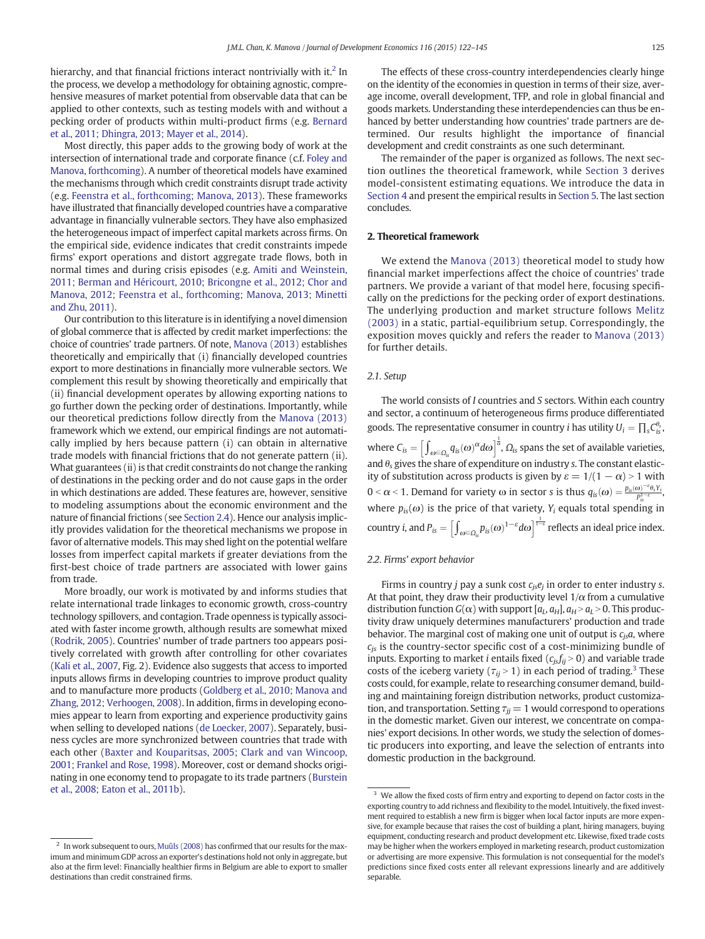hierarchy, and that financial frictions interact nontrivially with it.<sup>2</sup> In the process, we develop a methodology for obtaining agnostic, comprehensive measures of market potential from observable data that can be applied to other contexts, such as testing models with and without a pecking order of products within multi-product firms (e.g. [Bernard](#page-22-0) [et al., 2011; Dhingra, 2013; Mayer et al., 2014](#page-22-0)).

Most directly, this paper adds to the growing body of work at the intersection of international trade and corporate finance (c.f. [Foley and](#page-23-0) [Manova, forthcoming](#page-23-0)). A number of theoretical models have examined the mechanisms through which credit constraints disrupt trade activity (e.g. [Feenstra et al., forthcoming; Manova, 2013](#page-23-0)). These frameworks have illustrated that financially developed countries have a comparative advantage in financially vulnerable sectors. They have also emphasized the heterogeneous impact of imperfect capital markets across firms. On the empirical side, evidence indicates that credit constraints impede firms' export operations and distort aggregate trade flows, both in normal times and during crisis episodes (e.g. [Amiti and Weinstein,](#page-22-0) [2011; Berman and Héricourt, 2010; Bricongne et al., 2012; Chor and](#page-22-0) [Manova, 2012; Feenstra et al., forthcoming; Manova, 2013; Minetti](#page-22-0) [and Zhu, 2011](#page-22-0)).

Our contribution to this literature is in identifying a novel dimension of global commerce that is affected by credit market imperfections: the choice of countries' trade partners. Of note, [Manova \(2013\)](#page-23-0) establishes theoretically and empirically that (i) financially developed countries export to more destinations in financially more vulnerable sectors. We complement this result by showing theoretically and empirically that (ii) financial development operates by allowing exporting nations to go further down the pecking order of destinations. Importantly, while our theoretical predictions follow directly from the [Manova \(2013\)](#page-23-0) framework which we extend, our empirical findings are not automatically implied by hers because pattern (i) can obtain in alternative trade models with financial frictions that do not generate pattern (ii). What guarantees (ii) is that credit constraints do not change the ranking of destinations in the pecking order and do not cause gaps in the order in which destinations are added. These features are, however, sensitive to modeling assumptions about the economic environment and the nature of financial frictions (see [Section 2.4\)](#page-6-0). Hence our analysis implicitly provides validation for the theoretical mechanisms we propose in favor of alternative models. This may shed light on the potential welfare losses from imperfect capital markets if greater deviations from the first-best choice of trade partners are associated with lower gains from trade.

More broadly, our work is motivated by and informs studies that relate international trade linkages to economic growth, cross-country technology spillovers, and contagion. Trade openness is typically associated with faster income growth, although results are somewhat mixed [\(Rodrik, 2005\)](#page-23-0). Countries' number of trade partners too appears positively correlated with growth after controlling for other covariates [\(Kali et al., 2007,](#page-23-0) Fig. 2). Evidence also suggests that access to imported inputs allows firms in developing countries to improve product quality and to manufacture more products ([Goldberg et al., 2010; Manova and](#page-23-0) [Zhang, 2012; Verhoogen, 2008](#page-23-0)). In addition, firms in developing economies appear to learn from exporting and experience productivity gains when selling to developed nations ([de Loecker, 2007](#page-22-0)). Separately, business cycles are more synchronized between countries that trade with each other ([Baxter and Kouparitsas, 2005; Clark and van Wincoop,](#page-22-0) [2001; Frankel and Rose, 1998](#page-22-0)). Moreover, cost or demand shocks originating in one economy tend to propagate to its trade partners [\(Burstein](#page-22-0) [et al., 2008; Eaton et al., 2011b](#page-22-0)).

The effects of these cross-country interdependencies clearly hinge on the identity of the economies in question in terms of their size, average income, overall development, TFP, and role in global financial and goods markets. Understanding these interdependencies can thus be enhanced by better understanding how countries' trade partners are determined. Our results highlight the importance of financial development and credit constraints as one such determinant.

The remainder of the paper is organized as follows. The next section outlines the theoretical framework, while [Section 3](#page-6-0) derives model-consistent estimating equations. We introduce the data in [Section 4](#page-7-0) and present the empirical results in [Section 5.](#page-9-0) The last section concludes.

#### 2. Theoretical framework

We extend the [Manova \(2013\)](#page-23-0) theoretical model to study how financial market imperfections affect the choice of countries' trade partners. We provide a variant of that model here, focusing specifically on the predictions for the pecking order of export destinations. The underlying production and market structure follows [Melitz](#page-23-0) [\(2003\)](#page-23-0) in a static, partial-equilibrium setup. Correspondingly, the exposition moves quickly and refers the reader to [Manova \(2013\)](#page-23-0) for further details.

#### 2.1. Setup

The world consists of I countries and S sectors. Within each country and sector, a continuum of heterogeneous firms produce differentiated goods. The representative consumer in country *i* has utility  $U_i = \prod_s C_{is}^{\theta_s}$ , where  $C_{is}=\Big[\!\int_{\omega \in \varOmega_{is}}\! q_{is}(\omega)^\alpha d\omega\Big]^{\frac{1}{\alpha}}, \varOmega_{is}$  spans the set of available varieties, and  $\theta_s$  gives the share of expenditure on industry s. The constant elasticity of substitution across products is given by  $\varepsilon = 1/(1 - \alpha) > 1$  with  $0 < \alpha < 1$ . Demand for variety ω in sector s is thus  $q_{is}(\omega) = \frac{p_{is}(\omega)^{-\epsilon} \theta_s Y_i}{P_{is}^{1-\epsilon}}$ where  $p_{is}(\omega)$  is the price of that variety,  $Y_i$  equals total spending in country i, and  $P_{is} = \left[\int_{\omega \in \Omega_{is}} p_{is}(\omega)^{1-\varepsilon} d\omega \right]^{\frac{1}{1-\varepsilon}}$  reflects an ideal price index.

#### 2.2. Firms' export behavior

Firms in country *j* pay a sunk cost  $c_i e_j$  in order to enter industry *s*. At that point, they draw their productivity level  $1/\alpha$  from a cumulative distribution function  $G(\alpha)$  with support  $[a_L, a_H]$ ,  $a_H > a_L > 0$ . This productivity draw uniquely determines manufacturers' production and trade behavior. The marginal cost of making one unit of output is  $c_{is}a$ , where  $c_{js}$  is the country-sector specific cost of a cost-minimizing bundle of inputs. Exporting to market *i* entails fixed ( $c_{js} f_{ij} > 0$ ) and variable trade costs of the iceberg variety ( $\tau_{ij}$  > 1) in each period of trading.<sup>3</sup> These costs could, for example, relate to researching consumer demand, building and maintaining foreign distribution networks, product customization, and transportation. Setting  $\tau_{jj} = 1$  would correspond to operations in the domestic market. Given our interest, we concentrate on companies' export decisions. In other words, we study the selection of domestic producers into exporting, and leave the selection of entrants into domestic production in the background.

In work subsequent to ours, [Muûls \(2008\)](#page-23-0) has confirmed that our results for the maximum and minimum GDP across an exporter's destinations hold not only in aggregate, but also at the firm level: Financially healthier firms in Belgium are able to export to smaller destinations than credit constrained firms.

<sup>&</sup>lt;sup>3</sup> We allow the fixed costs of firm entry and exporting to depend on factor costs in the exporting country to add richness and flexibility to the model. Intuitively, the fixed investment required to establish a new firm is bigger when local factor inputs are more expensive, for example because that raises the cost of building a plant, hiring managers, buying equipment, conducting research and product development etc. Likewise, fixed trade costs may be higher when the workers employed in marketing research, product customization or advertising are more expensive. This formulation is not consequential for the model's predictions since fixed costs enter all relevant expressions linearly and are additively separable.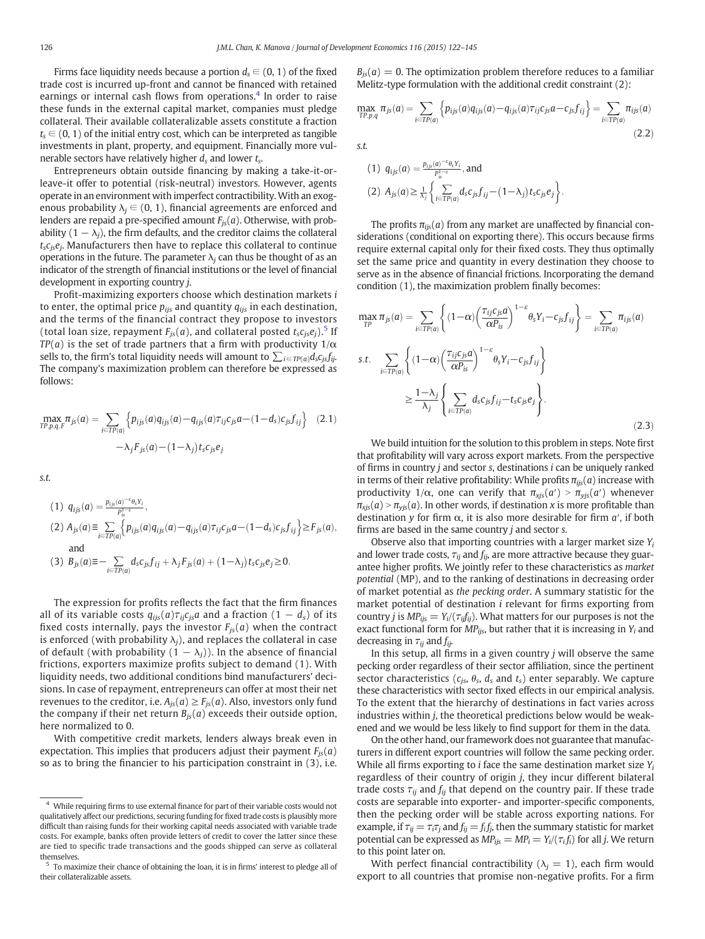<span id="page-4-0"></span>Firms face liquidity needs because a portion  $d_s \in (0, 1)$  of the fixed trade cost is incurred up-front and cannot be financed with retained earnings or internal cash flows from operations.<sup>4</sup> In order to raise these funds in the external capital market, companies must pledge collateral. Their available collateralizable assets constitute a fraction  $t<sub>s</sub>$   $\in$  (0, 1) of the initial entry cost, which can be interpreted as tangible investments in plant, property, and equipment. Financially more vulnerable sectors have relatively higher  $d_s$  and lower  $t_s$ .

Entrepreneurs obtain outside financing by making a take-it-orleave-it offer to potential (risk-neutral) investors. However, agents operate in an environment with imperfect contractibility. With an exogenous probability  $\lambda_i \in (0, 1)$ , financial agreements are enforced and lenders are repaid a pre-specified amount  $F_{is}(a)$ . Otherwise, with probability  $(1 - \lambda_i)$ , the firm defaults, and the creditor claims the collateral  $t_s c_{is}e_i$ . Manufacturers then have to replace this collateral to continue operations in the future. The parameter  $\lambda_i$  can thus be thought of as an indicator of the strength of financial institutions or the level of financial development in exporting country j.

Profit-maximizing exporters choose which destination markets i to enter, the optimal price  $p_{ijs}$  and quantity  $q_{ijs}$  in each destination, and the terms of the financial contract they propose to investors (total loan size, repayment  $F_{js}(a)$ , and collateral posted  $t_s c_{js} e_j$ ).<sup>5</sup> If  $TP(a)$  is the set of trade partners that a firm with productivity  $1/\alpha$ sells to, the firm's total liquidity needs will amount to  $\sum_{i\in TP(a)}d_s c_{is} f_{ii}$ . The company's maximization problem can therefore be expressed as follows:

$$
\max_{TP,p,q,F} \pi_{js}(a) = \sum_{i \in TP(a)} \left\{ p_{ijs}(a) q_{ijs}(a) - q_{ijs}(a) \tau_{ij} c_{js} a - (1 - d_s) c_{js} f_{ij} \right\} \tag{2.1}
$$

$$
- \lambda_j F_{js}(a) - (1 - \lambda_j) t_s c_{js} e_j
$$

s.t.

(1) 
$$
q_{ijs}(a) = \frac{p_{ijs}(a)^{-\epsilon} \theta_s Y_i}{p_{is}^{1-\epsilon}},
$$
  
\n(2)  $A_{js}(a) \equiv \sum_{i \in TP(a)} \Big\{ p_{ijs}(a) q_{ijs}(a) - q_{ijs}(a) \tau_{ij} c_{js} a - (1 - d_s) c_{js} f_{ij} \Big\} \ge F_{js}(a),$   
\nand  
\n(3)  $B_{js}(a) \equiv -\sum_{i \in TP(a)} d_s c_{js} f_{ij} + \lambda_j F_{js}(a) + (1 - \lambda_j) t_s c_{js} e_j \ge 0.$ 

The expression for profits reflects the fact that the firm finances  
all of its variable costs 
$$
q_{ijs}(a)\tau_{ij}c_{js}a
$$
 and a fraction  $(1 - d_s)$  of its  
fixed costs internally, pays the investor  $F_{js}(a)$  when the contract  
is enforced (with probability  $\lambda_j$ ), and replaces the collateral in case  
of default (with probability  $(1 - \lambda_j)$ ). In the absence of financial  
frictions, exports maximumize profits subject to demand (1). With  
liquidity needs, two additional conditions bind manufacturers' deci-  
sions. In case of repayment, antrepeneurs can offer at most their net  
revenues to the creditor, i.e.  $A_{js}(a) \ge F_{js}(a)$ . Also, investors only fund  
the company if their net return  $B_{js}(a)$  exceeds their outside option,  
here normalized to 0.

With competitive credit markets, lenders always break even in expectation. This implies that producers adjust their payment  $F_{is}(a)$ so as to bring the financier to his participation constraint in (3), i.e.  $B_{is}(a) = 0$ . The optimization problem therefore reduces to a familiar Melitz-type formulation with the additional credit constraint (2):

$$
\max_{TP, p, q} \pi_{js}(a) = \sum_{i \in TP(a)} \left\{ p_{ijs}(a) q_{ijs}(a) - q_{ijs}(a) \pi_{ij} c_{js} a - c_{js} f_{ij} \right\} = \sum_{i \in TP(a)} \pi_{ijs}(a)
$$
\n(2.2)

s.t.

(1) 
$$
q_{ijs}(a) = \frac{p_{ijs}(a)^{-\epsilon} \theta_s Y_i}{p_{is}^{1-\epsilon}}
$$
, and  
\n(2)  $A_{js}(a) \ge \frac{1}{\lambda_j} \left\{ \sum_{i \in TP(a)} d_s c_{js} f_{ij} - (1 - \lambda_j) t_s c_{js} e_j \right\}$ .

The profits  $\pi_{iis}(a)$  from any market are unaffected by financial considerations (conditional on exporting there). This occurs because firms require external capital only for their fixed costs. They thus optimally set the same price and quantity in every destination they choose to serve as in the absence of financial frictions. Incorporating the demand condition (1), the maximization problem finally becomes:

$$
\max_{TP} \pi_{js}(a) = \sum_{i \in TP(a)} \left\{ (1-\alpha) \left( \frac{\tau_{ij} c_{js} a}{\alpha P_{is}} \right)^{1-\epsilon} \theta_s Y_i - c_{js} f_{ij} \right\} = \sum_{i \in TP(a)} \pi_{ijs}(a)
$$
  
s.t. 
$$
\sum_{i \in TP(a)} \left\{ (1-\alpha) \left( \frac{\tau_{ij} c_{js} a}{\alpha P_{is}} \right)^{1-\epsilon} \theta_s Y_i - c_{js} f_{ij} \right\}
$$

$$
\geq \frac{1-\lambda_j}{\lambda_j} \left\{ \sum_{i \in TP(a)} d_s c_{js} f_{ij} - t_s c_{js} e_j \right\}.
$$
(2.3)

We build intuition for the solution to this problem in steps. Note first that profitability will vary across export markets. From the perspective of firms in country j and sector s, destinations i can be uniquely ranked in terms of their relative profitability: While profits  $\pi_{ijs}(a)$  increase with productivity 1/ $\alpha$ , one can verify that  $\pi_{xjs}(a') > \pi_{yjs}(a')$  whenever  $\pi_{x}(\alpha) > \pi_{y}(\alpha)$ . In other words, if destination x is more profitable than destination y for firm  $\alpha$ , it is also more desirable for firm  $a'$ , if both firms are based in the same country  $i$  and sector  $s$ .

Observe also that importing countries with a larger market size  $Y_i$ and lower trade costs,  $\tau_{ij}$  and  $f_{ij}$ , are more attractive because they guarantee higher profits. We jointly refer to these characteristics as market potential (MP), and to the ranking of destinations in decreasing order of market potential as the pecking order. A summary statistic for the market potential of destination i relevant for firms exporting from country *j* is  $MP_{ijs} = Y_i/(\tau_{iifj})$ . What matters for our purposes is not the exact functional form for  $MP_{ijs}$ , but rather that it is increasing in  $Y_i$  and decreasing in  $\tau_{ii}$  and  $f_{ii}$ .

In this setup, all firms in a given country  $j$  will observe the same pecking order regardless of their sector affiliation, since the pertinent sector characteristics ( $c_{is}$ ,  $\theta_s$ ,  $d_s$  and  $t_s$ ) enter separably. We capture these characteristics with sector fixed effects in our empirical analysis. To the extent that the hierarchy of destinations in fact varies across industries within j, the theoretical predictions below would be weakened and we would be less likely to find support for them in the data.

On the other hand, our framework does not guarantee that manufacturers in different export countries will follow the same pecking order. While all firms exporting to *i* face the same destination market size  $Y_i$ regardless of their country of origin j, they incur different bilateral trade costs  $\tau_{ij}$  and  $f_{ij}$  that depend on the country pair. If these trade costs are separable into exporter- and importer-specific components, then the pecking order will be stable across exporting nations. For example, if  $\tau_{ij} = \tau_i \tau_j$  and  $f_{ij} = f_i f_j$ , then the summary statistic for market potential can be expressed as  $MP_{ijs} = MP_i = Y_i/(\tau_i f_i)$  for all *j*. We return to this point later on.

With perfect financial contractibility ( $\lambda_i = 1$ ), each firm would export to all countries that promise non-negative profits. For a firm

<sup>4</sup> While requiring firms to use external finance for part of their variable costs would not qualitatively affect our predictions, securing funding for fixed trade costs is plausibly more difficult than raising funds for their working capital needs associated with variable trade costs. For example, banks often provide letters of credit to cover the latter since these are tied to specific trade transactions and the goods shipped can serve as collateral themselves.

<sup>5</sup> To maximize their chance of obtaining the loan, it is in firms' interest to pledge all of their collateralizable assets.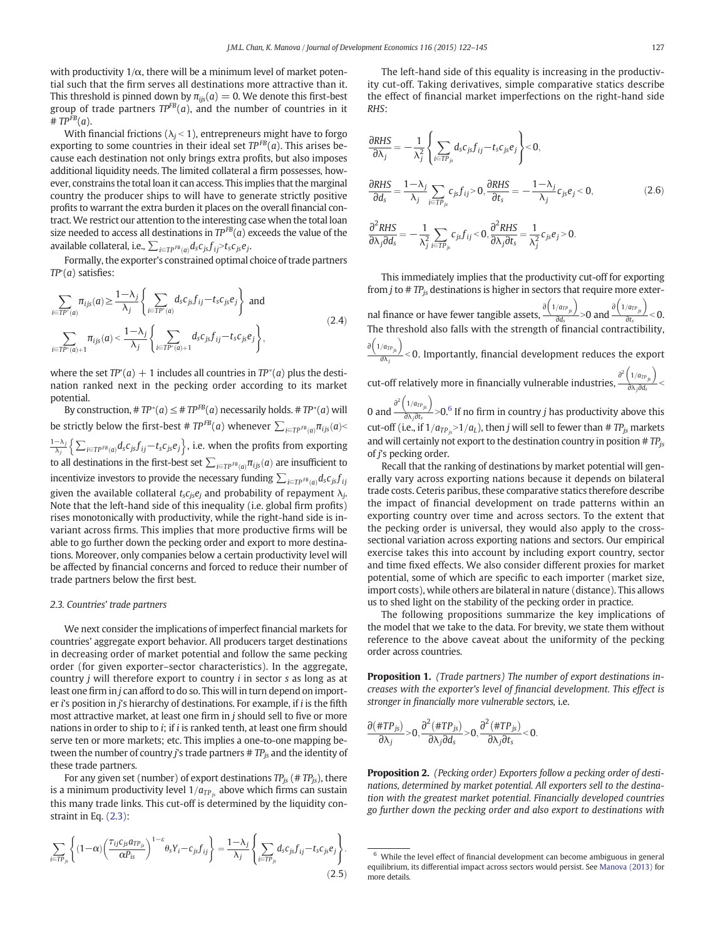<span id="page-5-0"></span>with productivity  $1/\alpha$ , there will be a minimum level of market potential such that the firm serves all destinations more attractive than it. This threshold is pinned down by  $\pi_{iis}(a) = 0$ . We denote this first-best group of trade partners  $TP^{FB}(a)$ , and the number of countries in it  $# TP^{FB}(a)$ .

With financial frictions ( $\lambda$ <sub>i</sub> < 1), entrepreneurs might have to forgo exporting to some countries in their ideal set  $TP^{FB}(a)$ . This arises because each destination not only brings extra profits, but also imposes additional liquidity needs. The limited collateral a firm possesses, however, constrains the total loan it can access. This implies that the marginal country the producer ships to will have to generate strictly positive profits to warrant the extra burden it places on the overall financial contract. We restrict our attention to the interesting case when the total loan size needed to access all destinations in  $TP^{FB}(a)$  exceeds the value of the available collateral, i.e.,  $\sum_{i \in T P^{FB}(a)} d_s c_{js} f_{ij} > t_s c_{js} e_j$ .

Formally, the exporter's constrained optimal choice of trade partners TP<sup>∗</sup> (a) satisfies:

$$
\sum_{i \in TP^*(a)} \pi_{ijs}(a) \ge \frac{1 - \lambda_j}{\lambda_j} \left\{ \sum_{i \in TP^*(a)} d_s c_{js} f_{ij} - t_s c_{js} e_j \right\} \text{ and}
$$
\n
$$
\sum_{i \in TP^*(a) + 1} \pi_{ijs}(a) < \frac{1 - \lambda_j}{\lambda_j} \left\{ \sum_{i \in TP^*(a) + 1} d_s c_{js} f_{ij} - t_s c_{js} e_j \right\},\tag{2.4}
$$

where the set  $TP^*(a) + 1$  includes all countries in  $TP^*(a)$  plus the destination ranked next in the pecking order according to its market potential.

By construction, #  $TP^*(a) \leq$  # $TP^{FB}(a)$  necessarily holds. #  $TP^*(a)$  will be strictly below the first-best #  $TP^{FB}(a)$  whenever  $\sum_{i \in TP^{FB}(a)} \pi_{ijs}(a)$  $\frac{1-\lambda_j}{\lambda_j}\Big\{\sum_{i\in T P^{FB}(a)}d_{s}c_{js}f_{ij}-t_{s}c_{js}e_j\Big\}$ , i.e. when the profits from exporting to all destinations in the first-best set  $\sum_{i\in TP^{FB}(a)}\pi_{ijs}(a)$  are insufficient to incentivize investors to provide the necessary funding  $\sum_{i\in TP^{FB}(a)} d_s c_{js} f_{ij}$ given the available collateral  $t_s c_j s_l$  and probability of repayment  $\lambda_i$ . Note that the left-hand side of this inequality (i.e. global firm profits) rises monotonically with productivity, while the right-hand side is invariant across firms. This implies that more productive firms will be able to go further down the pecking order and export to more destinations. Moreover, only companies below a certain productivity level will be affected by financial concerns and forced to reduce their number of trade partners below the first best.

#### 2.3. Countries' trade partners

We next consider the implications of imperfect financial markets for countries' aggregate export behavior. All producers target destinations in decreasing order of market potential and follow the same pecking order (for given exporter–sector characteristics). In the aggregate, country  $j$  will therefore export to country  $i$  in sector  $s$  as long as at least one firm in *j* can afford to do so. This will in turn depend on importer i's position in j's hierarchy of destinations. For example, if i is the fifth most attractive market, at least one firm in j should sell to five or more nations in order to ship to i; if i is ranked tenth, at least one firm should serve ten or more markets; etc. This implies a one-to-one mapping between the number of country *j*'s trade partners  $# TP<sub>js</sub>$  and the identity of these trade partners.

For any given set (number) of export destinations  $TP_{js}$  (#TP<sub>js</sub>), there is a minimum productivity level  $1/a_{TP_k}$  above which firms can sustain this many trade links. This cut-off is determined by the liquidity constraint in Eq. [\(2.3\):](#page-4-0)

$$
\sum_{i \in TP_{jk}} \left\{ (1 - \alpha) \left( \frac{\tau_{ij} c_{js} a_{TP_{jk}}}{\alpha P_{is}} \right)^{1 - \varepsilon} \theta_s Y_i - c_{js} f_{ij} \right\} = \frac{1 - \lambda_j}{\lambda_j} \left\{ \sum_{i \in TP_{jk}} d_s c_{js} f_{ij} - t_s c_{js} e_j \right\}.
$$
\n(2.5)

The left-hand side of this equality is increasing in the productivity cut-off. Taking derivatives, simple comparative statics describe the effect of financial market imperfections on the right-hand side RHS:

$$
\frac{\partial RHS}{\partial \lambda_j} = -\frac{1}{\lambda_j^2} \left\{ \sum_{i \in TP_{js}} d_s c_{js} f_{ij} - t_s c_{js} e_j \right\} < 0,
$$
  

$$
\frac{\partial RHS}{\partial d_s} = \frac{1 - \lambda_j}{\lambda_j} \sum_{i \in TP_{js}} c_{js} f_{ij} > 0, \frac{\partial RHS}{\partial t_s} = -\frac{1 - \lambda_j}{\lambda_j} c_{js} e_j < 0,
$$
(2.6)

$$
\frac{\partial^2 RHS}{\partial \lambda_j \partial d_s} = -\frac{1}{\lambda_j^2} \sum_{i \in TP_{js}} c_{js} f_{ij} < 0, \frac{\partial^2 RHS}{\partial \lambda_j \partial t_s} = \frac{1}{\lambda_j^2} c_{js} e_j > 0.
$$

This immediately implies that the productivity cut-off for exporting from  $j$  to  $\# TP_{js}$  destinations is higher in sectors that require more external finance or have fewer tangible assets,  $\frac{\partial \left(1/a_{TP_{jk}}\right)}{\partial d}$  $\frac{P}{\partial d_s}$  >0 and  $\partial\left(1/a_{TP_{js}}\right)$  $\frac{b}{\partial t_s}$  < 0. The threshold also falls with the strength of financial contractibility,  $\partial\Bigl(1/a_{TP}}_{js}\Bigr)$  $\frac{\partial \mathcal{L}_{\hat{B}}}{\partial \lambda_j}$  < 0. Importantly, financial development reduces the export cut-off relatively more in financially vulnerable industries,  $\frac{\partial^2 (1/a_{TP_{jk}})}{\partial \lambda \cdot \partial d}$  $\frac{\partial}{\partial \lambda_j \partial d_s}$   $<$ 0 and  $\frac{\partial^2 (1/a_{TP}}{\partial \lambda \cdot \partial t})$  $\frac{\sum_{i=1}^{N-1} x_i}{\partial \lambda_i \partial t_s}$  >0.<sup>6</sup> If no firm in country *j* has productivity above this

cut-off (i.e., if  $1/a_{TP} > 1/a_L$ ), then j will sell to fewer than #  $TP_{is}$  markets and will certainly not export to the destination country in position  $\# TP_{is}$ of j's pecking order.

Recall that the ranking of destinations by market potential will generally vary across exporting nations because it depends on bilateral trade costs. Ceteris paribus, these comparative statics therefore describe the impact of financial development on trade patterns within an exporting country over time and across sectors. To the extent that the pecking order is universal, they would also apply to the crosssectional variation across exporting nations and sectors. Our empirical exercise takes this into account by including export country, sector and time fixed effects. We also consider different proxies for market potential, some of which are specific to each importer (market size, import costs), while others are bilateral in nature (distance). This allows us to shed light on the stability of the pecking order in practice.

The following propositions summarize the key implications of the model that we take to the data. For brevity, we state them without reference to the above caveat about the uniformity of the pecking order across countries.

Proposition 1. (Trade partners) The number of export destinations increases with the exporter's level of financial development. This effect is stronger in financially more vulnerable sectors, i.e.

$$
\frac{\partial (\#TP_{js})}{\partial \lambda_j} > 0, \frac{\partial^2 (\#TP_{js})}{\partial \lambda_j \partial d_s} > 0, \frac{\partial^2 (\#TP_{js})}{\partial \lambda_j \partial t_s} < 0.
$$

Proposition 2. (Pecking order) Exporters follow a pecking order of destinations, determined by market potential. All exporters sell to the destination with the greatest market potential. Financially developed countries go further down the pecking order and also export to destinations with

 $6\,$  While the level effect of financial development can become ambiguous in general equilibrium, its differential impact across sectors would persist. See [Manova \(2013\)](#page-23-0) for more details.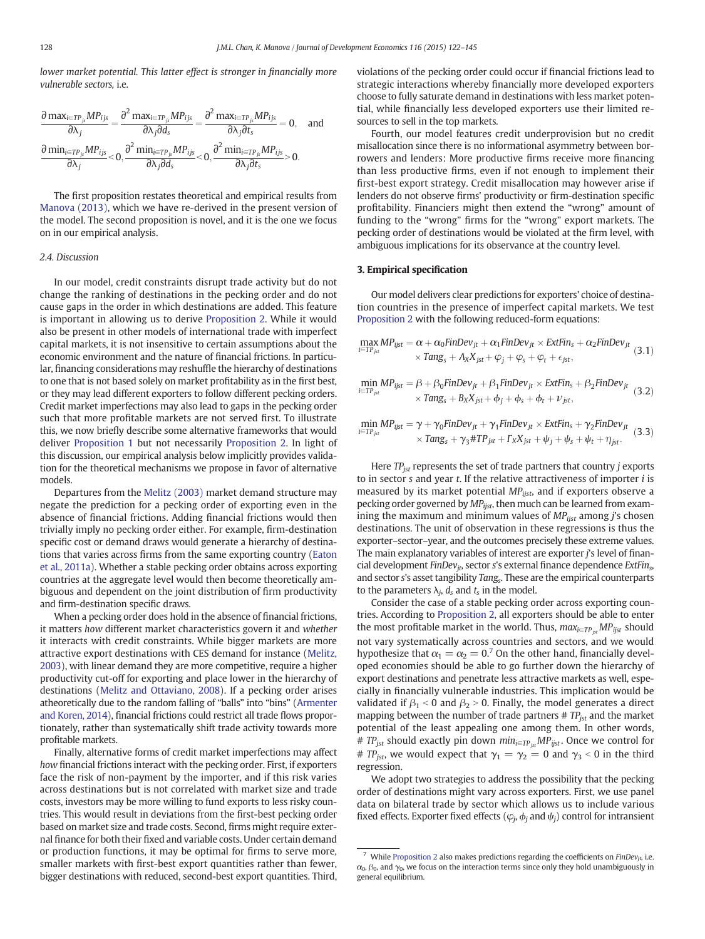<span id="page-6-0"></span>lower market potential. This latter effect is stronger in financially more vulnerable sectors, i.e.

$$
\frac{\partial \max_{i \in TP_{js}} MP_{ijs}}{\partial \lambda_j} = \frac{\partial^2 \max_{i \in TP_{js}} MP_{ijs}}{\partial \lambda_j \partial d_s} = \frac{\partial^2 \max_{i \in TP_{js}} MP_{ijs}}{\partial \lambda_j \partial t_s} = 0, \text{ and}
$$
  

$$
\frac{\partial \min_{i \in TP_{js}} MP_{ijs}}{\partial \lambda_j} < 0, \frac{\partial^2 \min_{i \in TP_{js}} MP_{ijs}}{\partial \lambda_j \partial d_s} < 0, \frac{\partial^2 \min_{i \in TP_{js}} MP_{ijs}}{\partial \lambda_j \partial t_s} > 0.
$$

The first proposition restates theoretical and empirical results from [Manova \(2013\),](#page-23-0) which we have re-derived in the present version of the model. The second proposition is novel, and it is the one we focus on in our empirical analysis.

#### 2.4. Discussion

In our model, credit constraints disrupt trade activity but do not change the ranking of destinations in the pecking order and do not cause gaps in the order in which destinations are added. This feature is important in allowing us to derive [Proposition 2.](#page-5-0) While it would also be present in other models of international trade with imperfect capital markets, it is not insensitive to certain assumptions about the economic environment and the nature of financial frictions. In particular, financing considerations may reshuffle the hierarchy of destinations to one that is not based solely on market profitability as in the first best, or they may lead different exporters to follow different pecking orders. Credit market imperfections may also lead to gaps in the pecking order such that more profitable markets are not served first. To illustrate this, we now briefly describe some alternative frameworks that would deliver [Proposition 1](#page-5-0) but not necessarily [Proposition 2.](#page-5-0) In light of this discussion, our empirical analysis below implicitly provides validation for the theoretical mechanisms we propose in favor of alternative models.

Departures from the [Melitz \(2003\)](#page-23-0) market demand structure may negate the prediction for a pecking order of exporting even in the absence of financial frictions. Adding financial frictions would then trivially imply no pecking order either. For example, firm-destination specific cost or demand draws would generate a hierarchy of destinations that varies across firms from the same exporting country [\(Eaton](#page-22-0) [et al., 2011a](#page-22-0)). Whether a stable pecking order obtains across exporting countries at the aggregate level would then become theoretically ambiguous and dependent on the joint distribution of firm productivity and firm-destination specific draws.

When a pecking order does hold in the absence of financial frictions, it matters how different market characteristics govern it and whether it interacts with credit constraints. While bigger markets are more attractive export destinations with CES demand for instance ([Melitz,](#page-23-0) [2003\)](#page-23-0), with linear demand they are more competitive, require a higher productivity cut-off for exporting and place lower in the hierarchy of destinations ([Melitz and Ottaviano, 2008\)](#page-23-0). If a pecking order arises atheoretically due to the random falling of "balls" into "bins" [\(Armenter](#page-22-0) [and Koren, 2014\)](#page-22-0), financial frictions could restrict all trade flows proportionately, rather than systematically shift trade activity towards more profitable markets.

Finally, alternative forms of credit market imperfections may affect how financial frictions interact with the pecking order. First, if exporters face the risk of non-payment by the importer, and if this risk varies across destinations but is not correlated with market size and trade costs, investors may be more willing to fund exports to less risky countries. This would result in deviations from the first-best pecking order based on market size and trade costs. Second, firms might require external finance for both their fixed and variable costs. Under certain demand or production functions, it may be optimal for firms to serve more, smaller markets with first-best export quantities rather than fewer, bigger destinations with reduced, second-best export quantities. Third, violations of the pecking order could occur if financial frictions lead to strategic interactions whereby financially more developed exporters choose to fully saturate demand in destinations with less market potential, while financially less developed exporters use their limited resources to sell in the top markets.

Fourth, our model features credit underprovision but no credit misallocation since there is no informational asymmetry between borrowers and lenders: More productive firms receive more financing than less productive firms, even if not enough to implement their first-best export strategy. Credit misallocation may however arise if lenders do not observe firms' productivity or firm-destination specific profitability. Financiers might then extend the "wrong" amount of funding to the "wrong" firms for the "wrong" export markets. The pecking order of destinations would be violated at the firm level, with ambiguous implications for its observance at the country level.

#### 3. Empirical specification

Our model delivers clear predictions for exporters' choice of destination countries in the presence of imperfect capital markets. We test [Proposition 2](#page-5-0) with the following reduced-form equations:

$$
\max_{i \in TP_{jst}} MP_{ijst} = \alpha + \alpha_0 FinDev_{jt} + \alpha_1 FinDev_{jt} \times ExtFin_s + \alpha_2 FinDev_{jt}
$$
  
× Tang<sub>s</sub> +  $A_X X_{jst} + \varphi_j + \varphi_s + \varphi_t + \epsilon_{jst}$ , (3.1)

$$
\min_{i \in TP_{jst}} MP_{ijst} = \beta + \beta_0 FinDev_{jt} + \beta_1 FinDev_{jt} \times ExtFin_s + \beta_2 FinDev_{jt}
$$
  
× Tang<sub>s</sub> + B<sub>x</sub>X<sub>jst</sub> +  $\phi_j$  +  $\phi_s$  +  $\phi_t$  +  $\nu_{jst}$ , (3.2)

$$
\min_{i \in TP_{jst}} MP_{ijst} = \gamma + \gamma_0 FinDev_{jt} + \gamma_1 FinDev_{jt} \times ExtFin_s + \gamma_2 FinDev_{jt}
$$
  
× Tang<sub>s</sub> +  $\gamma_3 \# TP_{jst} + \Gamma_X X_{jst} + \psi_j + \psi_s + \psi_t + \eta_{jst}$ . (3.3)

Here  $TP_{jst}$  represents the set of trade partners that country  $j$  exports to in sector  $s$  and year  $t$ . If the relative attractiveness of importer  $i$  is measured by its market potential  $MP_{ijst}$ , and if exporters observe a pecking order governed by  $MP_{ijst}$ , then much can be learned from examining the maximum and minimum values of  $MP_{i}$  among j's chosen destinations. The unit of observation in these regressions is thus the exporter–sector–year, and the outcomes precisely these extreme values. The main explanatory variables of interest are exporter j's level of financial development  $FinDev_{it}$ , sector s's external finance dependence ExtFin<sub>s</sub>, and sector s's asset tangibility Tangs. These are the empirical counterparts to the parameters  $\lambda_i$ ,  $d_s$  and  $t_s$  in the model.

Consider the case of a stable pecking order across exporting countries. According to [Proposition 2,](#page-5-0) all exporters should be able to enter the most profitable market in the world. Thus,  $max_{i \in TP_{ist}} MP_{ijst}$  should not vary systematically across countries and sectors, and we would hypothesize that  $\alpha_1 = \alpha_2 = 0$ .<sup>7</sup> On the other hand, financially developed economies should be able to go further down the hierarchy of export destinations and penetrate less attractive markets as well, especially in financially vulnerable industries. This implication would be validated if  $\beta_1$  < 0 and  $\beta_2$  > 0. Finally, the model generates a direct mapping between the number of trade partners  $# TP_{\text{ist}}$  and the market potential of the least appealing one among them. In other words, # TP<sub>jst</sub> should exactly pin down  $min_{i \in TP_{i\sigma}} MP_{i\sigma}$ . Once we control for # TP<sub>jst</sub>, we would expect that  $\gamma_1 = \gamma_2 = 0$  and  $\gamma_3 < 0$  in the third regression.

We adopt two strategies to address the possibility that the pecking order of destinations might vary across exporters. First, we use panel data on bilateral trade by sector which allows us to include various fixed effects. Exporter fixed effects ( $\varphi_j$ ,  $\phi_j$  and  $\psi_j$ ) control for intransient

<sup>&</sup>lt;sup>7</sup> While [Proposition 2](#page-5-0) also makes predictions regarding the coefficients on  $FinDev<sub>jb</sub>$ , i.e.  $\alpha_0$ ,  $\beta_0$ , and  $\gamma_0$ , we focus on the interaction terms since only they hold unambiguously in general equilibrium.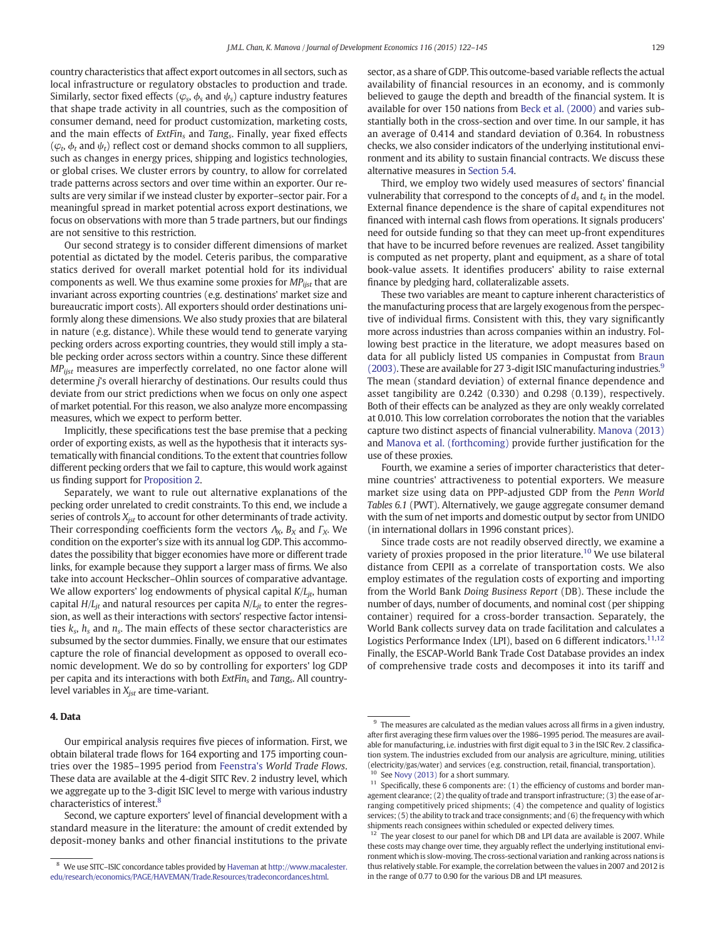<span id="page-7-0"></span>country characteristics that affect export outcomes in all sectors, such as local infrastructure or regulatory obstacles to production and trade. Similarly, sector fixed effects ( $\varphi_s$ ,  $\phi_s$  and  $\psi_s$ ) capture industry features that shape trade activity in all countries, such as the composition of consumer demand, need for product customization, marketing costs, and the main effects of  $Exffin<sub>s</sub>$  and Tang<sub>s</sub>. Finally, year fixed effects ( $\varphi_t$ ,  $\phi_t$  and  $\psi_t$ ) reflect cost or demand shocks common to all suppliers, such as changes in energy prices, shipping and logistics technologies, or global crises. We cluster errors by country, to allow for correlated trade patterns across sectors and over time within an exporter. Our results are very similar if we instead cluster by exporter–sector pair. For a meaningful spread in market potential across export destinations, we focus on observations with more than 5 trade partners, but our findings are not sensitive to this restriction.

Our second strategy is to consider different dimensions of market potential as dictated by the model. Ceteris paribus, the comparative statics derived for overall market potential hold for its individual components as well. We thus examine some proxies for  $MP_{i}$  that are invariant across exporting countries (e.g. destinations' market size and bureaucratic import costs). All exporters should order destinations uniformly along these dimensions. We also study proxies that are bilateral in nature (e.g. distance). While these would tend to generate varying pecking orders across exporting countries, they would still imply a stable pecking order across sectors within a country. Since these different  $MP_{i<sub>ist</sub>}$  measures are imperfectly correlated, no one factor alone will determine j's overall hierarchy of destinations. Our results could thus deviate from our strict predictions when we focus on only one aspect of market potential. For this reason, we also analyze more encompassing measures, which we expect to perform better.

Implicitly, these specifications test the base premise that a pecking order of exporting exists, as well as the hypothesis that it interacts systematically with financial conditions. To the extent that countries follow different pecking orders that we fail to capture, this would work against us finding support for [Proposition 2.](#page-5-0)

Separately, we want to rule out alternative explanations of the pecking order unrelated to credit constraints. To this end, we include a series of controls  $X_{jst}$  to account for other determinants of trade activity. Their corresponding coefficients form the vectors  $Λ<sub>x</sub>, B<sub>x</sub>$  and  $Γ<sub>x</sub>$ . We condition on the exporter's size with its annual log GDP. This accommodates the possibility that bigger economies have more or different trade links, for example because they support a larger mass of firms. We also take into account Heckscher–Ohlin sources of comparative advantage. We allow exporters' log endowments of physical capital  $K/L_{it}$ , human capital  $H/L_{it}$  and natural resources per capita  $N/L_{it}$  to enter the regression, as well as their interactions with sectors' respective factor intensities  $k_s$ ,  $h_s$  and  $n_s$ . The main effects of these sector characteristics are subsumed by the sector dummies. Finally, we ensure that our estimates capture the role of financial development as opposed to overall economic development. We do so by controlling for exporters' log GDP per capita and its interactions with both  $Exffin<sub>s</sub>$  and Tang<sub>s</sub>. All countrylevel variables in  $X_{jst}$  are time-variant.

#### 4. Data

Our empirical analysis requires five pieces of information. First, we obtain bilateral trade flows for 164 exporting and 175 importing countries over the 1985–1995 period from [Feenstra's](#page-22-0) World Trade Flows. These data are available at the 4-digit SITC Rev. 2 industry level, which we aggregate up to the 3-digit ISIC level to merge with various industry characteristics of interest.8

Second, we capture exporters' level of financial development with a standard measure in the literature: the amount of credit extended by deposit-money banks and other financial institutions to the private sector, as a share of GDP. This outcome-based variable reflects the actual availability of financial resources in an economy, and is commonly believed to gauge the depth and breadth of the financial system. It is available for over 150 nations from [Beck et al. \(2000\)](#page-22-0) and varies substantially both in the cross-section and over time. In our sample, it has an average of 0.414 and standard deviation of 0.364. In robustness checks, we also consider indicators of the underlying institutional environment and its ability to sustain financial contracts. We discuss these alternative measures in [Section 5.4](#page-15-0).

Third, we employ two widely used measures of sectors' financial vulnerability that correspond to the concepts of  $d_s$  and  $t_s$  in the model. External finance dependence is the share of capital expenditures not financed with internal cash flows from operations. It signals producers' need for outside funding so that they can meet up-front expenditures that have to be incurred before revenues are realized. Asset tangibility is computed as net property, plant and equipment, as a share of total book-value assets. It identifies producers' ability to raise external finance by pledging hard, collateralizable assets.

These two variables are meant to capture inherent characteristics of the manufacturing process that are largely exogenous from the perspective of individual firms. Consistent with this, they vary significantly more across industries than across companies within an industry. Following best practice in the literature, we adopt measures based on data for all publicly listed US companies in Compustat from [Braun](#page-22-0) [\(2003\)](#page-22-0). These are available for 27 3-digit ISIC manufacturing industries.<sup>9</sup> The mean (standard deviation) of external finance dependence and asset tangibility are 0.242 (0.330) and 0.298 (0.139), respectively. Both of their effects can be analyzed as they are only weakly correlated at 0.010. This low correlation corroborates the notion that the variables capture two distinct aspects of financial vulnerability. [Manova \(2013\)](#page-23-0) and [Manova et al. \(forthcoming\)](#page-23-0) provide further justification for the use of these proxies.

Fourth, we examine a series of importer characteristics that determine countries' attractiveness to potential exporters. We measure market size using data on PPP-adjusted GDP from the Penn World Tables 6.1 (PWT). Alternatively, we gauge aggregate consumer demand with the sum of net imports and domestic output by sector from UNIDO (in international dollars in 1996 constant prices).

Since trade costs are not readily observed directly, we examine a variety of proxies proposed in the prior literature.<sup>10</sup> We use bilateral distance from CEPII as a correlate of transportation costs. We also employ estimates of the regulation costs of exporting and importing from the World Bank Doing Business Report (DB). These include the number of days, number of documents, and nominal cost (per shipping container) required for a cross-border transaction. Separately, the World Bank collects survey data on trade facilitation and calculates a Logistics Performance Index (LPI), based on 6 different indicators.<sup>11,12</sup> Finally, the ESCAP-World Bank Trade Cost Database provides an index of comprehensive trade costs and decomposes it into its tariff and

<sup>8</sup> We use SITC–ISIC concordance tables provided by [Haveman](#page-23-0) at [http://www.macalester.](http://www.macalester.edu/research/economics/PAGE/HAVEMAN/Trade.Resources/tradeconcordances.html) [edu/research/economics/PAGE/HAVEMAN/Trade.Resources/tradeconcordances.html](http://www.macalester.edu/research/economics/PAGE/HAVEMAN/Trade.Resources/tradeconcordances.html).

<sup>&</sup>lt;sup>9</sup> The measures are calculated as the median values across all firms in a given industry, after first averaging these firm values over the 1986–1995 period. The measures are available for manufacturing, i.e. industries with first digit equal to 3 in the ISIC Rev. 2 classification system. The industries excluded from our analysis are agriculture, mining, utilities (electricity/gas/water) and services (e.g. construction, retail, financial, transportation). <sup>10</sup> See [Novy \(2013\)](#page-23-0) for a short summary.

<sup>&</sup>lt;sup>11</sup> Specifically, these 6 components are: (1) the efficiency of customs and border management clearance; (2) the quality of trade and transport infrastructure; (3) the ease of arranging competitively priced shipments; (4) the competence and quality of logistics services; (5) the ability to track and trace consignments; and (6) the frequency with which shipments reach consignees within scheduled or expected delivery times.

 $12$ <sup>2</sup> The year closest to our panel for which DB and LPI data are available is 2007. While these costs may change over time, they arguably reflect the underlying institutional environment which is slow-moving. The cross-sectional variation and ranking across nations is thus relatively stable. For example, the correlation between the values in 2007 and 2012 is in the range of 0.77 to 0.90 for the various DB and LPI measures.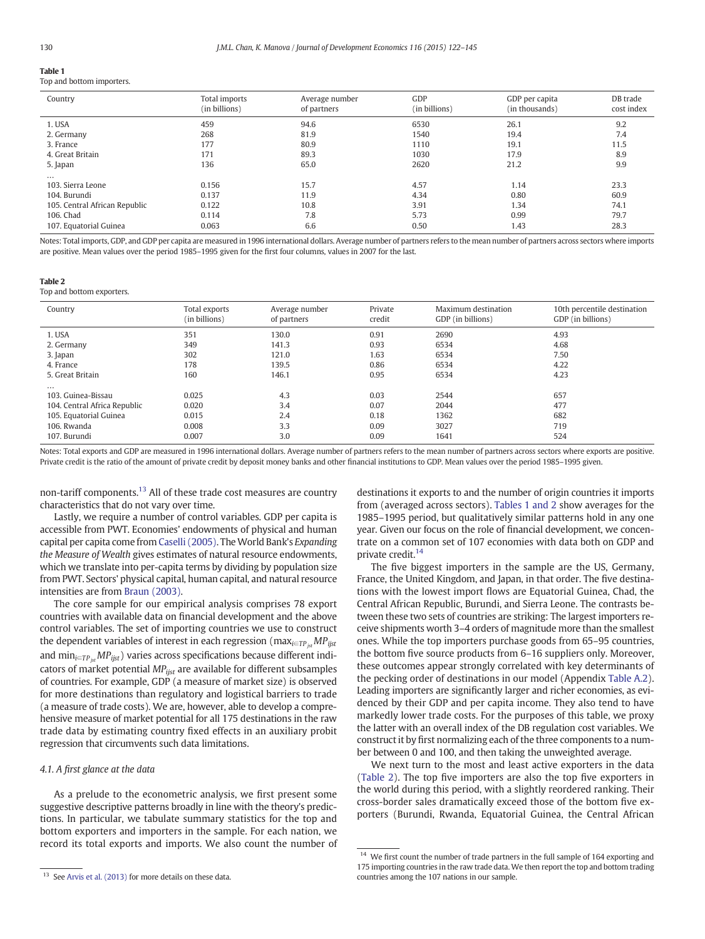### <span id="page-8-0"></span>Table 1

Top and bottom importers.

| Country                       | Total imports<br>(in billions) | Average number<br>of partners | GDP<br>(in billions) | GDP per capita<br>(in thousands) | DB trade<br>cost index |
|-------------------------------|--------------------------------|-------------------------------|----------------------|----------------------------------|------------------------|
| 1. USA                        | 459                            | 94.6                          | 6530                 | 26.1                             | 9.2                    |
| 2. Germany                    | 268                            | 81.9                          | 1540                 | 19.4                             | 7.4                    |
| 3. France                     | 177                            | 80.9                          | 1110                 | 19.1                             | 11.5                   |
| 4. Great Britain              | 171                            | 89.3                          | 1030                 | 17.9                             | 8.9                    |
| 5. Japan                      | 136                            | 65.0                          | 2620                 | 21.2                             | 9.9                    |
| $\cdots$                      |                                |                               |                      |                                  |                        |
| 103. Sierra Leone             | 0.156                          | 15.7                          | 4.57                 | 1.14                             | 23.3                   |
| 104. Burundi                  | 0.137                          | 11.9                          | 4.34                 | 0.80                             | 60.9                   |
| 105. Central African Republic | 0.122                          | 10.8                          | 3.91                 | 1.34                             | 74.1                   |
| 106. Chad                     | 0.114                          | 7.8                           | 5.73                 | 0.99                             | 79.7                   |
| 107. Equatorial Guinea        | 0.063                          | 6.6                           | 0.50                 | 1.43                             | 28.3                   |

Notes: Total imports, GDP, and GDP per capita are measured in 1996 international dollars. Average number of partners refers to the mean number of partners across sectors where imports are positive. Mean values over the period 1985–1995 given for the first four columns, values in 2007 for the last.

|--|--|

Top and bottom exporters.

| Country                      | Total exports | Average number | Private | Maximum destination | 10th percentile destination |
|------------------------------|---------------|----------------|---------|---------------------|-----------------------------|
|                              | (in billions) | of partners    | credit  | GDP (in billions)   | GDP (in billions)           |
|                              |               |                |         |                     |                             |
| 1. USA                       | 351           | 130.0          | 0.91    | 2690                | 4.93                        |
| 2. Germany                   | 349           | 141.3          | 0.93    | 6534                | 4.68                        |
| 3. Japan                     | 302           | 121.0          | 1.63    | 6534                | 7.50                        |
| 4. France                    | 178           | 139.5          | 0.86    | 6534                | 4.22                        |
| 5. Great Britain             | 160           | 146.1          | 0.95    | 6534                | 4.23                        |
| $\cdots$                     |               |                |         |                     |                             |
| 103. Guinea-Bissau           | 0.025         | 4.3            | 0.03    | 2544                | 657                         |
| 104. Central Africa Republic | 0.020         | 3.4            | 0.07    | 2044                | 477                         |
| 105. Equatorial Guinea       | 0.015         | 2.4            | 0.18    | 1362                | 682                         |
| 106. Rwanda                  | 0.008         | 3.3            | 0.09    | 3027                | 719                         |
| 107. Burundi                 | 0.007         | 3.0            | 0.09    | 1641                | 524                         |

Notes: Total exports and GDP are measured in 1996 international dollars. Average number of partners refers to the mean number of partners across sectors where exports are positive. Private credit is the ratio of the amount of private credit by deposit money banks and other financial institutions to GDP. Mean values over the period 1985–1995 given.

non-tariff components.13 All of these trade cost measures are country characteristics that do not vary over time.

Lastly, we require a number of control variables. GDP per capita is accessible from PWT. Economies' endowments of physical and human capital per capita come from [Caselli \(2005\).](#page-22-0) The World Bank's Expanding the Measure of Wealth gives estimates of natural resource endowments, which we translate into per-capita terms by dividing by population size from PWT. Sectors' physical capital, human capital, and natural resource intensities are from [Braun \(2003\).](#page-22-0)

The core sample for our empirical analysis comprises 78 export countries with available data on financial development and the above control variables. The set of importing countries we use to construct the dependent variables of interest in each regression (max $_{i\in TP_{is}}MP_{ijst}$ and  $\min_{i \in TP_{ist}} MP_{ijst}$ ) varies across specifications because different indicators of market potential  $MP_{ijst}$  are available for different subsamples of countries. For example, GDP (a measure of market size) is observed for more destinations than regulatory and logistical barriers to trade (a measure of trade costs). We are, however, able to develop a comprehensive measure of market potential for all 175 destinations in the raw trade data by estimating country fixed effects in an auxiliary probit regression that circumvents such data limitations.

#### 4.1. A first glance at the data

As a prelude to the econometric analysis, we first present some suggestive descriptive patterns broadly in line with the theory's predictions. In particular, we tabulate summary statistics for the top and bottom exporters and importers in the sample. For each nation, we record its total exports and imports. We also count the number of destinations it exports to and the number of origin countries it imports from (averaged across sectors). Tables 1 and 2 show averages for the 1985–1995 period, but qualitatively similar patterns hold in any one year. Given our focus on the role of financial development, we concentrate on a common set of 107 economies with data both on GDP and private credit.<sup>14</sup>

The five biggest importers in the sample are the US, Germany, France, the United Kingdom, and Japan, in that order. The five destinations with the lowest import flows are Equatorial Guinea, Chad, the Central African Republic, Burundi, and Sierra Leone. The contrasts between these two sets of countries are striking: The largest importers receive shipments worth 3–4 orders of magnitude more than the smallest ones. While the top importers purchase goods from 65–95 countries, the bottom five source products from 6–16 suppliers only. Moreover, these outcomes appear strongly correlated with key determinants of the pecking order of destinations in our model (Appendix [Table A.2](#page-19-0)). Leading importers are significantly larger and richer economies, as evidenced by their GDP and per capita income. They also tend to have markedly lower trade costs. For the purposes of this table, we proxy the latter with an overall index of the DB regulation cost variables. We construct it by first normalizing each of the three components to a number between 0 and 100, and then taking the unweighted average.

We next turn to the most and least active exporters in the data (Table 2). The top five importers are also the top five exporters in the world during this period, with a slightly reordered ranking. Their cross-border sales dramatically exceed those of the bottom five exporters (Burundi, Rwanda, Equatorial Guinea, the Central African

<sup>&</sup>lt;sup>13</sup> See [Arvis et al. \(2013\)](#page-22-0) for more details on these data.

 $^{14}\,$  We first count the number of trade partners in the full sample of 164 exporting and 175 importing countries in the raw trade data. We then report the top and bottom trading countries among the 107 nations in our sample.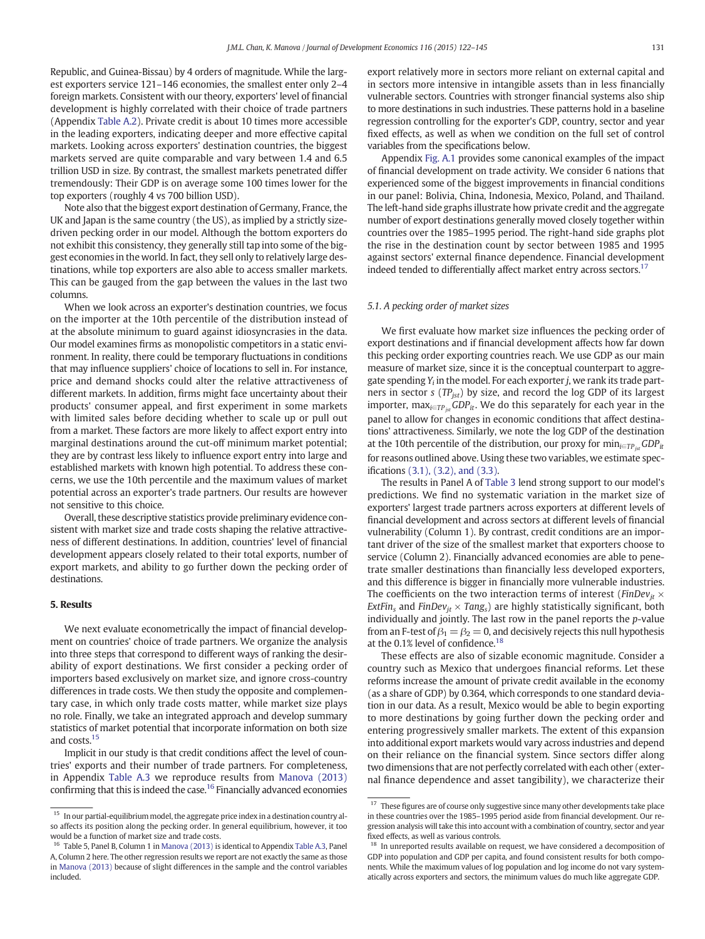<span id="page-9-0"></span>Republic, and Guinea-Bissau) by 4 orders of magnitude. While the largest exporters service 121–146 economies, the smallest enter only 2–4 foreign markets. Consistent with our theory, exporters' level of financial development is highly correlated with their choice of trade partners (Appendix [Table A.2\)](#page-19-0). Private credit is about 10 times more accessible in the leading exporters, indicating deeper and more effective capital markets. Looking across exporters' destination countries, the biggest markets served are quite comparable and vary between 1.4 and 6.5 trillion USD in size. By contrast, the smallest markets penetrated differ tremendously: Their GDP is on average some 100 times lower for the top exporters (roughly 4 vs 700 billion USD).

Note also that the biggest export destination of Germany, France, the UK and Japan is the same country (the US), as implied by a strictly sizedriven pecking order in our model. Although the bottom exporters do not exhibit this consistency, they generally still tap into some of the biggest economies in the world. In fact, they sell only to relatively large destinations, while top exporters are also able to access smaller markets. This can be gauged from the gap between the values in the last two columns.

When we look across an exporter's destination countries, we focus on the importer at the 10th percentile of the distribution instead of at the absolute minimum to guard against idiosyncrasies in the data. Our model examines firms as monopolistic competitors in a static environment. In reality, there could be temporary fluctuations in conditions that may influence suppliers' choice of locations to sell in. For instance, price and demand shocks could alter the relative attractiveness of different markets. In addition, firms might face uncertainty about their products' consumer appeal, and first experiment in some markets with limited sales before deciding whether to scale up or pull out from a market. These factors are more likely to affect export entry into marginal destinations around the cut-off minimum market potential; they are by contrast less likely to influence export entry into large and established markets with known high potential. To address these concerns, we use the 10th percentile and the maximum values of market potential across an exporter's trade partners. Our results are however not sensitive to this choice.

Overall, these descriptive statistics provide preliminary evidence consistent with market size and trade costs shaping the relative attractiveness of different destinations. In addition, countries' level of financial development appears closely related to their total exports, number of export markets, and ability to go further down the pecking order of destinations.

### 5. Results

We next evaluate econometrically the impact of financial development on countries' choice of trade partners. We organize the analysis into three steps that correspond to different ways of ranking the desirability of export destinations. We first consider a pecking order of importers based exclusively on market size, and ignore cross-country differences in trade costs. We then study the opposite and complementary case, in which only trade costs matter, while market size plays no role. Finally, we take an integrated approach and develop summary statistics of market potential that incorporate information on both size and costs.15

Implicit in our study is that credit conditions affect the level of countries' exports and their number of trade partners. For completeness, in Appendix [Table A.3](#page-19-0) we reproduce results from [Manova \(2013\)](#page-23-0) confirming that this is indeed the case.<sup>16</sup> Financially advanced economies export relatively more in sectors more reliant on external capital and in sectors more intensive in intangible assets than in less financially vulnerable sectors. Countries with stronger financial systems also ship to more destinations in such industries. These patterns hold in a baseline regression controlling for the exporter's GDP, country, sector and year fixed effects, as well as when we condition on the full set of control variables from the specifications below.

Appendix [Fig. A.1](#page-20-0) provides some canonical examples of the impact of financial development on trade activity. We consider 6 nations that experienced some of the biggest improvements in financial conditions in our panel: Bolivia, China, Indonesia, Mexico, Poland, and Thailand. The left-hand side graphs illustrate how private credit and the aggregate number of export destinations generally moved closely together within countries over the 1985–1995 period. The right-hand side graphs plot the rise in the destination count by sector between 1985 and 1995 against sectors' external finance dependence. Financial development indeed tended to differentially affect market entry across sectors.<sup>17</sup>

#### 5.1. A pecking order of market sizes

We first evaluate how market size influences the pecking order of export destinations and if financial development affects how far down this pecking order exporting countries reach. We use GDP as our main measure of market size, since it is the conceptual counterpart to aggregate spending  $Y_i$  in the model. For each exporter j, we rank its trade partners in sector s ( $TP_{jst}$ ) by size, and record the log GDP of its largest importer, max<sub>i∈TP<sub>ist</sub>GDP<sub>it</sub>. We do this separately for each year in the</sub> panel to allow for changes in economic conditions that affect destinations' attractiveness. Similarly, we note the log GDP of the destination at the 10th percentile of the distribution, our proxy for  $\min_{i \in TP_{ist}} GDP_{it}$ for reasons outlined above. Using these two variables, we estimate specifications [\(3.1\), \(3.2\), and \(3.3\)](#page-6-0).

The results in Panel A of [Table 3](#page-10-0) lend strong support to our model's predictions. We find no systematic variation in the market size of exporters' largest trade partners across exporters at different levels of financial development and across sectors at different levels of financial vulnerability (Column 1). By contrast, credit conditions are an important driver of the size of the smallest market that exporters choose to service (Column 2). Financially advanced economies are able to penetrate smaller destinations than financially less developed exporters, and this difference is bigger in financially more vulnerable industries. The coefficients on the two interaction terms of interest (FinDev<sub>it</sub>  $\times$ *ExtFin<sub>s</sub>* and *FinDev*<sub>it</sub>  $\times$  *Tang<sub>s</sub>*) are highly statistically significant, both individually and jointly. The last row in the panel reports the  $p$ -value from an F-test of  $\beta_1 = \beta_2 = 0$ , and decisively rejects this null hypothesis at the 0.1% level of confidence.<sup>18</sup>

These effects are also of sizable economic magnitude. Consider a country such as Mexico that undergoes financial reforms. Let these reforms increase the amount of private credit available in the economy (as a share of GDP) by 0.364, which corresponds to one standard deviation in our data. As a result, Mexico would be able to begin exporting to more destinations by going further down the pecking order and entering progressively smaller markets. The extent of this expansion into additional export markets would vary across industries and depend on their reliance on the financial system. Since sectors differ along two dimensions that are not perfectly correlated with each other (external finance dependence and asset tangibility), we characterize their

<sup>&</sup>lt;sup>15</sup> In our partial-equilibrium model, the aggregate price index in a destination country also affects its position along the pecking order. In general equilibrium, however, it too would be a function of market size and trade costs.

Table 5, Panel B, Column 1 in [Manova \(2013\)](#page-23-0) is identical to Appendix [Table A.3](#page-19-0), Panel A, Column 2 here. The other regression results we report are not exactly the same as those in [Manova \(2013\)](#page-23-0) because of slight differences in the sample and the control variables included.

 $^{17}\,$  These figures are of course only suggestive since many other developments take place in these countries over the 1985–1995 period aside from financial development. Our regression analysis will take this into account with a combination of country, sector and year fixed effects, as well as various controls.

 $^{18}\,$  In unreported results available on request, we have considered a decomposition of GDP into population and GDP per capita, and found consistent results for both components. While the maximum values of log population and log income do not vary systematically across exporters and sectors, the minimum values do much like aggregate GDP.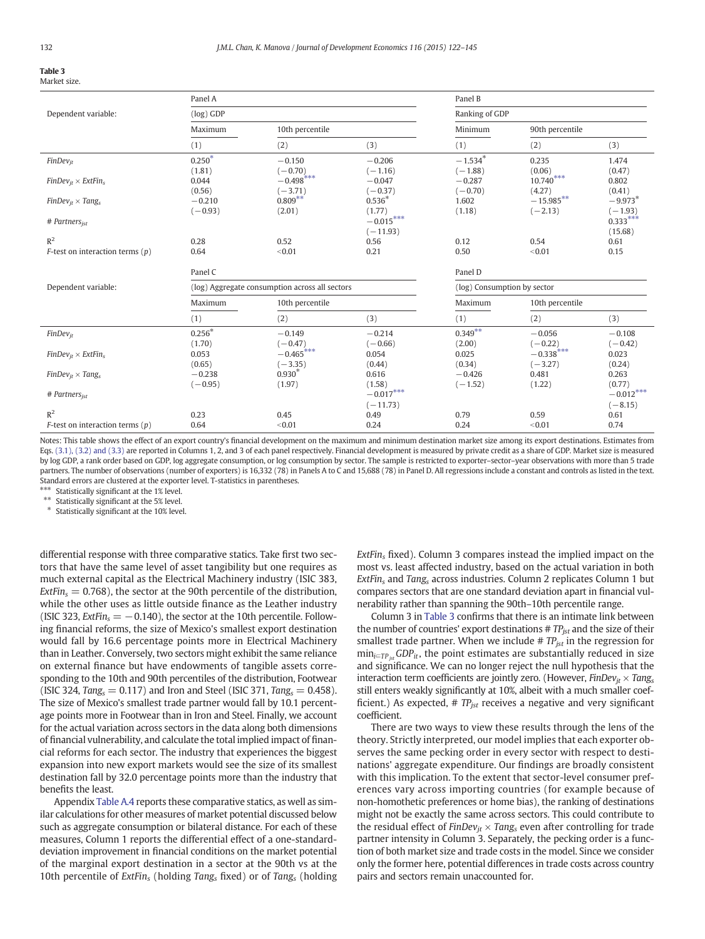#### <span id="page-10-0"></span>Table 3 Market size.

|                                           | Panel A                |                                                |                           | Panel B                     |                                      |                          |  |
|-------------------------------------------|------------------------|------------------------------------------------|---------------------------|-----------------------------|--------------------------------------|--------------------------|--|
| Dependent variable:                       | (log) GDP              |                                                |                           | Ranking of GDP              |                                      |                          |  |
|                                           | Maximum                | 10th percentile                                |                           | Minimum                     | 90th percentile                      |                          |  |
|                                           | (1)                    | (2)                                            | (3)                       | (1)                         | (2)                                  | (3)                      |  |
| $FinDev_{it}$                             | $0.250*$<br>(1.81)     | $-0.150$<br>$(-0.70)$                          | $-0.206$<br>$(-1.16)$     | $-1.534*$<br>$(-1.88)$      | 0.235<br>(0.06)                      | 1.474<br>(0.47)          |  |
| $FinDev_{it} \times ExtFin_s$             | 0.044<br>(0.56)        | $-0.498$ <sup>***</sup><br>$(-3.71)$           | $-0.047$<br>$(-0.37)$     | $-0.287$<br>$(-0.70)$       | $10.740***$<br>(4.27)                | 0.802<br>(0.41)          |  |
| $FinDev_{it} \times Tang_s$               | $-0.210$<br>$(-0.93)$  | $0.809***$<br>(2.01)                           | $0.536*$<br>(1.77)        | 1.602<br>(1.18)             | $-15.985***$<br>$(-2.13)$            | $-9.973*$<br>$(-1.93)$   |  |
| $#$ Partners <sub>ist</sub>               |                        |                                                | $-0.015***$<br>$(-11.93)$ |                             |                                      | $0.333***$<br>(15.68)    |  |
| $R^2$                                     | 0.28                   | 0.52                                           | 0.56                      | 0.12                        | 0.54                                 | 0.61                     |  |
| <i>F</i> -test on interaction terms $(p)$ | 0.64                   | < 0.01                                         | 0.21                      | 0.50                        | < 0.01                               | 0.15                     |  |
|                                           | Panel C                |                                                |                           | Panel D                     |                                      |                          |  |
| Dependent variable:                       |                        | (log) Aggregate consumption across all sectors |                           | (log) Consumption by sector |                                      |                          |  |
|                                           | Maximum                | 10th percentile                                |                           | Maximum                     | 10th percentile                      |                          |  |
|                                           | (1)                    | (2)                                            | (3)                       | (1)                         | (2)                                  | (3)                      |  |
| $FinDev_{it}$                             | $0.256^\ast$<br>(1.70) | $-0.149$<br>$(-0.47)$                          | $-0.214$<br>$(-0.66)$     | $0.349***$<br>(2.00)        | $-0.056$<br>$(-0.22)$                | $-0.108$<br>$(-0.42)$    |  |
| $FinDev_{it} \times ExtFin_s$             | 0.053<br>(0.65)        | $-0.465$ ***<br>$(-3.35)$                      | 0.054<br>(0.44)           | 0.025<br>(0.34)             | $-0.338$ <sup>***</sup><br>$(-3.27)$ | 0.023<br>(0.24)          |  |
| $FinDev_{it} \times Tang_s$               | $-0.238$<br>$(-0.95)$  | $0.930^\ast$<br>(1.97)                         | 0.616<br>(1.58)           | $-0.426$<br>$(-1.52)$       | 0.481<br>(1.22)                      | 0.263<br>(0.77)          |  |
| $#$ Partners <sub>ist</sub>               |                        |                                                | $-0.017***$<br>$(-11.73)$ |                             |                                      | $-0.012***$<br>$(-8.15)$ |  |
| $R^2$                                     | 0.23                   | 0.45                                           | 0.49                      | 0.79                        | 0.59                                 | 0.61                     |  |
| <i>F</i> -test on interaction terms $(p)$ | 0.64                   | < 0.01                                         | 0.24                      | 0.24                        | < 0.01                               | 0.74                     |  |

Notes: This table shows the effect of an export country's financial development on the maximum and minimum destination market size among its export destinations. Estimates from Eqs. [\(3.1\), \(3.2\) and \(3.3\)](#page-6-0) are reported in Columns 1, 2, and 3 of each panel respectively. Financial development is measured by private credit as a share of GDP. Market size is measured by log GDP, a rank order based on GDP, log aggregate consumption, or log consumption by sector. The sample is restricted to exporter–sector–year observations with more than 5 trade partners. The number of observations (number of exporters) is 16,332 (78) in Panels A to C and 15,688 (78) in Panel D. All regressions include a constant and controls as listed in the text. Standard errors are clustered at the exporter level. T-statistics in parentheses.

Statistically significant at the 1% level.

Statistically significant at the 5% level.

Statistically significant at the 10% level.

differential response with three comparative statics. Take first two sectors that have the same level of asset tangibility but one requires as much external capital as the Electrical Machinery industry (ISIC 383,  $Exffin<sub>s</sub> = 0.768$ ), the sector at the 90th percentile of the distribution, while the other uses as little outside finance as the Leather industry (ISIC 323, ExtFin<sub>s</sub>  $= -0.140$ ), the sector at the 10th percentile. Following financial reforms, the size of Mexico's smallest export destination would fall by 16.6 percentage points more in Electrical Machinery than in Leather. Conversely, two sectors might exhibit the same reliance on external finance but have endowments of tangible assets corresponding to the 10th and 90th percentiles of the distribution, Footwear (ISIC 324, Tang<sub>s</sub> = 0.117) and Iron and Steel (ISIC 371, Tang<sub>s</sub> = 0.458). The size of Mexico's smallest trade partner would fall by 10.1 percentage points more in Footwear than in Iron and Steel. Finally, we account for the actual variation across sectors in the data along both dimensions of financial vulnerability, and calculate the total implied impact of financial reforms for each sector. The industry that experiences the biggest expansion into new export markets would see the size of its smallest destination fall by 32.0 percentage points more than the industry that benefits the least.

Appendix [Table A.4](#page-22-0) reports these comparative statics, as well as similar calculations for other measures of market potential discussed below such as aggregate consumption or bilateral distance. For each of these measures, Column 1 reports the differential effect of a one-standarddeviation improvement in financial conditions on the market potential of the marginal export destination in a sector at the 90th vs at the 10th percentile of ExtFin<sub>s</sub> (holding Tang<sub>s</sub> fixed) or of Tang<sub>s</sub> (holding  $ExtFin<sub>s</sub>$  fixed). Column 3 compares instead the implied impact on the most vs. least affected industry, based on the actual variation in both ExtFin<sub>s</sub> and Tang<sub>s</sub> across industries. Column 2 replicates Column 1 but compares sectors that are one standard deviation apart in financial vulnerability rather than spanning the 90th–10th percentile range.

Column 3 in Table 3 confirms that there is an intimate link between the number of countries' export destinations  $# TP_{ist}$  and the size of their smallest trade partner. When we include  $# TP_{ist}$  in the regression for  $\min_{i \in TP} \mathcal{G}DP_{it}$ , the point estimates are substantially reduced in size and significance. We can no longer reject the null hypothesis that the interaction term coefficients are jointly zero. (However,  $FinDev_{it} \times Tang_s$ still enters weakly significantly at 10%, albeit with a much smaller coefficient.) As expected,  $# TP_{jst}$  receives a negative and very significant coefficient.

There are two ways to view these results through the lens of the theory. Strictly interpreted, our model implies that each exporter observes the same pecking order in every sector with respect to destinations' aggregate expenditure. Our findings are broadly consistent with this implication. To the extent that sector-level consumer preferences vary across importing countries (for example because of non-homothetic preferences or home bias), the ranking of destinations might not be exactly the same across sectors. This could contribute to the residual effect of  $FinDev_{jt} \times Tang_s$  even after controlling for trade partner intensity in Column 3. Separately, the pecking order is a function of both market size and trade costs in the model. Since we consider only the former here, potential differences in trade costs across country pairs and sectors remain unaccounted for.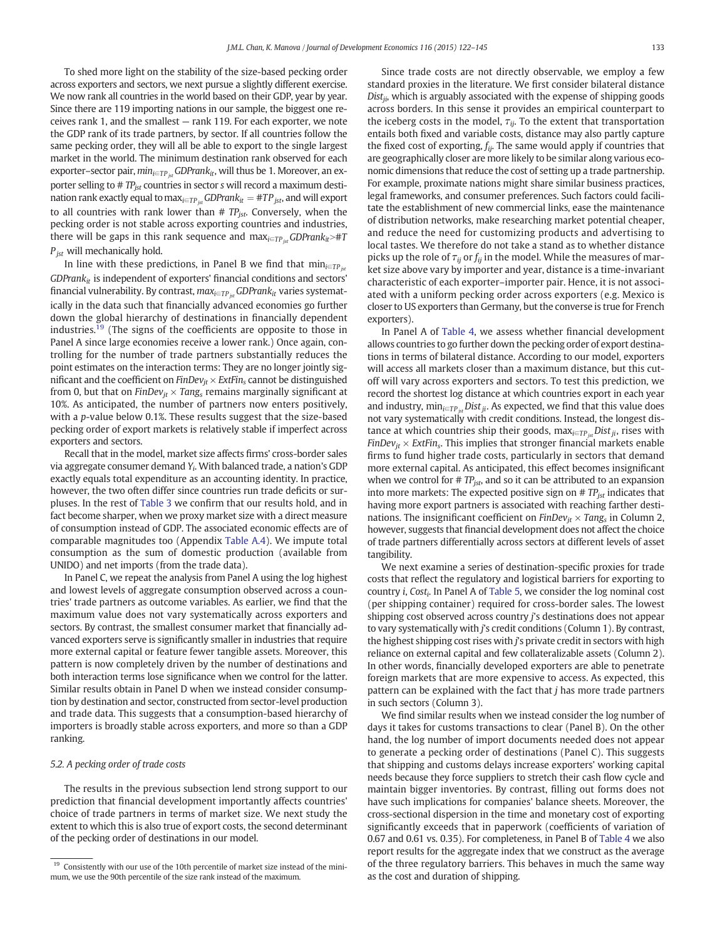To shed more light on the stability of the size-based pecking order across exporters and sectors, we next pursue a slightly different exercise. We now rank all countries in the world based on their GDP, year by year. Since there are 119 importing nations in our sample, the biggest one receives rank 1, and the smallest — rank 119. For each exporter, we note the GDP rank of its trade partners, by sector. If all countries follow the same pecking order, they will all be able to export to the single largest market in the world. The minimum destination rank observed for each exporter–sector pair,  $min_{i \in TP_{ist}} GDPrank_{it}$ , will thus be 1. Moreover, an exporter selling to  $# TP_{jst}$  countries in sector s will record a maximum destination rank exactly equal to max $_{i\in TP_{ist}}$ GDPran $k_{it} = \#TP_{jst}$ , and will export to all countries with rank lower than  $# TP_{ist}$ . Conversely, when the pecking order is not stable across exporting countries and industries, there will be gaps in this rank sequence and max $_{i\in TP}$  GDPran $k_{it}$  >#T  $P_{jst}$  will mechanically hold.

In line with these predictions, in Panel B we find that  $\min_{i \in TP_{jst}}$  $GDPrank_{it}$  is independent of exporters' financial conditions and sectors' financial vulnerability. By contrast,  $max_{i \in TP_{ist}} GDPrank_{it}$  varies systematically in the data such that financially advanced economies go further down the global hierarchy of destinations in financially dependent industries.<sup>19</sup> (The signs of the coefficients are opposite to those in Panel A since large economies receive a lower rank.) Once again, controlling for the number of trade partners substantially reduces the point estimates on the interaction terms: They are no longer jointly significant and the coefficient on  $FinDev_{jt} \times ExtFin_s$  cannot be distinguished from 0, but that on  $FinDev_{jt} \times Tang_s$  remains marginally significant at 10%. As anticipated, the number of partners now enters positively, with a p-value below 0.1%. These results suggest that the size-based pecking order of export markets is relatively stable if imperfect across exporters and sectors.

Recall that in the model, market size affects firms' cross-border sales via aggregate consumer demand Yi. With balanced trade, a nation's GDP exactly equals total expenditure as an accounting identity. In practice, however, the two often differ since countries run trade deficits or surpluses. In the rest of [Table 3](#page-10-0) we confirm that our results hold, and in fact become sharper, when we proxy market size with a direct measure of consumption instead of GDP. The associated economic effects are of comparable magnitudes too (Appendix [Table A.4\)](#page-22-0). We impute total consumption as the sum of domestic production (available from UNIDO) and net imports (from the trade data).

In Panel C, we repeat the analysis from Panel A using the log highest and lowest levels of aggregate consumption observed across a countries' trade partners as outcome variables. As earlier, we find that the maximum value does not vary systematically across exporters and sectors. By contrast, the smallest consumer market that financially advanced exporters serve is significantly smaller in industries that require more external capital or feature fewer tangible assets. Moreover, this pattern is now completely driven by the number of destinations and both interaction terms lose significance when we control for the latter. Similar results obtain in Panel D when we instead consider consumption by destination and sector, constructed from sector-level production and trade data. This suggests that a consumption-based hierarchy of importers is broadly stable across exporters, and more so than a GDP ranking.

#### 5.2. A pecking order of trade costs

The results in the previous subsection lend strong support to our prediction that financial development importantly affects countries' choice of trade partners in terms of market size. We next study the extent to which this is also true of export costs, the second determinant of the pecking order of destinations in our model.

Since trade costs are not directly observable, we employ a few standard proxies in the literature. We first consider bilateral distance  $Dist_{ii}$ , which is arguably associated with the expense of shipping goods across borders. In this sense it provides an empirical counterpart to the iceberg costs in the model,  $\tau_{ij}$ . To the extent that transportation entails both fixed and variable costs, distance may also partly capture the fixed cost of exporting,  $f_{ii}$ . The same would apply if countries that are geographically closer are more likely to be similar along various economic dimensions that reduce the cost of setting up a trade partnership. For example, proximate nations might share similar business practices, legal frameworks, and consumer preferences. Such factors could facilitate the establishment of new commercial links, ease the maintenance of distribution networks, make researching market potential cheaper, and reduce the need for customizing products and advertising to local tastes. We therefore do not take a stand as to whether distance picks up the role of  $\tau_{ij}$  or  $f_{ij}$  in the model. While the measures of market size above vary by importer and year, distance is a time-invariant characteristic of each exporter–importer pair. Hence, it is not associated with a uniform pecking order across exporters (e.g. Mexico is closer to US exporters than Germany, but the converse is true for French exporters).

In Panel A of [Table 4,](#page-12-0) we assess whether financial development allows countries to go further down the pecking order of export destinations in terms of bilateral distance. According to our model, exporters will access all markets closer than a maximum distance, but this cutoff will vary across exporters and sectors. To test this prediction, we record the shortest log distance at which countries export in each year and industry,  $\min_{i \in TP_{\text{jet}}} Dist_{ji}$ . As expected, we find that this value does not vary systematically with credit conditions. Instead, the longest distance at which countries ship their goods, max $_{i\in TP_{\text{tot}}}$ Dist $_{ii}$ , rises with  $FinDev_{it} \times ExtFin_s$ . This implies that stronger financial markets enable firms to fund higher trade costs, particularly in sectors that demand more external capital. As anticipated, this effect becomes insignificant when we control for  $# TP_{jst}$ , and so it can be attributed to an expansion into more markets: The expected positive sign on  $# TP_{jst}$  indicates that having more export partners is associated with reaching farther destinations. The insignificant coefficient on  $FinDev_{it} \times Tang_{s}$  in Column 2, however, suggests that financial development does not affect the choice of trade partners differentially across sectors at different levels of asset tangibility.

We next examine a series of destination-specific proxies for trade costs that reflect the regulatory and logistical barriers for exporting to country *i*, Cost<sub>i</sub>. In Panel A of [Table 5](#page-13-0), we consider the log nominal cost (per shipping container) required for cross-border sales. The lowest shipping cost observed across country j's destinations does not appear to vary systematically with j's credit conditions (Column 1). By contrast, the highest shipping cost rises with j's private credit in sectors with high reliance on external capital and few collateralizable assets (Column 2). In other words, financially developed exporters are able to penetrate foreign markets that are more expensive to access. As expected, this pattern can be explained with the fact that  $j$  has more trade partners in such sectors (Column 3).

We find similar results when we instead consider the log number of days it takes for customs transactions to clear (Panel B). On the other hand, the log number of import documents needed does not appear to generate a pecking order of destinations (Panel C). This suggests that shipping and customs delays increase exporters' working capital needs because they force suppliers to stretch their cash flow cycle and maintain bigger inventories. By contrast, filling out forms does not have such implications for companies' balance sheets. Moreover, the cross-sectional dispersion in the time and monetary cost of exporting significantly exceeds that in paperwork (coefficients of variation of 0.67 and 0.61 vs. 0.35). For completeness, in Panel B of [Table 4](#page-12-0) we also report results for the aggregate index that we construct as the average of the three regulatory barriers. This behaves in much the same way as the cost and duration of shipping.

<sup>&</sup>lt;sup>19</sup> Consistently with our use of the 10th percentile of market size instead of the minimum, we use the 90th percentile of the size rank instead of the maximum.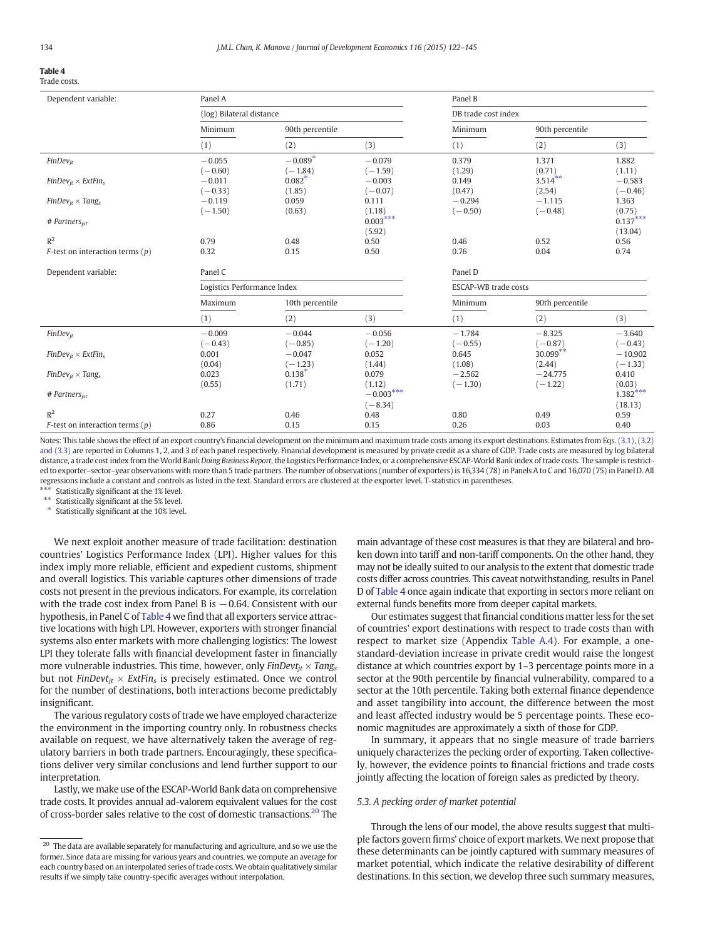#### <span id="page-12-0"></span>Table 4 Trade costs.

| Dependent variable:                       | Panel A                     |                        |                             | Panel B               |                        |                                 |  |
|-------------------------------------------|-----------------------------|------------------------|-----------------------------|-----------------------|------------------------|---------------------------------|--|
|                                           | (log) Bilateral distance    |                        |                             | DB trade cost index   |                        |                                 |  |
|                                           | Minimum                     | 90th percentile        |                             | Minimum               | 90th percentile        |                                 |  |
|                                           | (1)                         | (2)                    | (3)                         | (1)                   | (2)                    | (3)                             |  |
| $FinDev_{it}$                             | $-0.055$<br>$(-0.60)$       | $-0.089*$<br>$(-1.84)$ | $-0.079$<br>$(-1.59)$       | 0.379<br>(1.29)       | 1.371<br>(0.71)        | 1.882<br>(1.11)                 |  |
| $FinDev_{it} \times ExtFin_s$             | $-0.011$<br>$(-0.33)$       | $0.082*$<br>(1.85)     | $-0.003$<br>$(-0.07)$       | 0.149<br>(0.47)       | $3.514**$<br>(2.54)    | $-0.583$<br>$(-0.46)$           |  |
| $FinDev_{it} \times Tang_s$               | $-0.119$<br>$(-1.50)$       | 0.059<br>(0.63)        | 0.111<br>(1.18)             | $-0.294$<br>$(-0.50)$ | $-1.115$<br>$(-0.48)$  | 1.363                           |  |
| $#$ Partners <sub>ist</sub>               |                             |                        | $0.003***$<br>(5.92)        |                       |                        | $(0.75)$<br>0.137***<br>(13.04) |  |
| $R^2$                                     | 0.79                        | 0.48                   | 0.50                        | 0.46                  | 0.52                   | 0.56                            |  |
| <i>F</i> -test on interaction terms $(p)$ | 0.32                        | 0.15                   | 0.50                        | 0.76                  | 0.04                   | 0.74                            |  |
| Dependent variable:                       | Panel C                     |                        |                             | Panel D               |                        |                                 |  |
|                                           | Logistics Performance Index |                        | <b>ESCAP-WB trade costs</b> |                       |                        |                                 |  |
|                                           | Maximum                     | 10th percentile        |                             | Minimum               | 90th percentile        |                                 |  |
|                                           | (1)                         | (2)                    | (3)                         | (1)                   | (2)                    | (3)                             |  |
| $FinDev_{it}$                             | $-0.009$<br>$(-0.43)$       | $-0.044$<br>$(-0.85)$  | $-0.056$<br>$(-1.20)$       | $-1.784$<br>$(-0.55)$ | $-8.325$<br>$(-0.87)$  | $-3.640$<br>$(-0.43)$           |  |
| $FinDev_{it} \times ExtFin_s$             | 0.001<br>(0.04)             | $-0.047$<br>$(-1.23)$  | 0.052<br>(1.44)             | 0.645<br>(1.08)       | 30.099**<br>(2.44)     | $-10.902$<br>$(-1.33)$          |  |
| $FinDev_{it} \times Tang_{s}$             | 0.023<br>(0.55)             | $0.138*$<br>(1.71)     | 0.079<br>(1.12)             | $-2.562$<br>$(-1.30)$ | $-24.775$<br>$(-1.22)$ | 0.410<br>(0.03)                 |  |
| $#$ Partners <sub>ist</sub>               |                             |                        | $-0.003***$<br>$(-8.34)$    |                       |                        | $1.382***$<br>(18.13)           |  |
| $R^2$                                     | 0.27                        | 0.46                   | 0.48                        | 0.80                  | 0.49                   | 0.59                            |  |
| $F$ -test on interaction terms $(p)$      | 0.86                        | 0.15                   | 0.15                        | 0.26                  | 0.03                   | 0.40                            |  |

Notes: This table shows the effect of an export country's financial development on the minimum and maximum trade costs among its export destinations. Estimates from Eqs. [\(3.1\), \(3.2\)](#page-6-0) [and \(3.3\)](#page-6-0) are reported in Columns 1, 2, and 3 of each panel respectively. Financial development is measured by private credit as a share of GDP. Trade costs are measured by log bilateral distance, a trade cost index from the World Bank Doing Business Report, the Logistics Performance Index, or a comprehensive ESCAP-World Bank index of trade costs. The sample is restricted to exporter–sector–year observations with more than 5 trade partners. The number of observations (number of exporters) is 16,334 (78) in Panels A to C and 16,070 (75) in Panel D. All regressions include a constant and controls as listed in the text. Standard errors are clustered at the exporter level. T-statistics in parentheses.

Statistically significant at the 1% level.

Statistically significant at the 5% level.

Statistically significant at the 10% level.

We next exploit another measure of trade facilitation: destination countries' Logistics Performance Index (LPI). Higher values for this index imply more reliable, efficient and expedient customs, shipment and overall logistics. This variable captures other dimensions of trade costs not present in the previous indicators. For example, its correlation with the trade cost index from Panel B is  $-0.64$ . Consistent with our hypothesis, in Panel C of Table 4 we find that all exporters service attractive locations with high LPI. However, exporters with stronger financial systems also enter markets with more challenging logistics: The lowest LPI they tolerate falls with financial development faster in financially more vulnerable industries. This time, however, only  $FinDevt_{it} \times Tang_s$ but not FinDevt<sub>it</sub>  $\times$  ExtFin<sub>s</sub> is precisely estimated. Once we control for the number of destinations, both interactions become predictably insignificant.

The various regulatory costs of trade we have employed characterize the environment in the importing country only. In robustness checks available on request, we have alternatively taken the average of regulatory barriers in both trade partners. Encouragingly, these specifications deliver very similar conclusions and lend further support to our interpretation.

Lastly, we make use of the ESCAP-World Bank data on comprehensive trade costs. It provides annual ad-valorem equivalent values for the cost of cross-border sales relative to the cost of domestic transactions.<sup>20</sup> The main advantage of these cost measures is that they are bilateral and broken down into tariff and non-tariff components. On the other hand, they may not be ideally suited to our analysis to the extent that domestic trade costs differ across countries. This caveat notwithstanding, results in Panel D of Table 4 once again indicate that exporting in sectors more reliant on external funds benefits more from deeper capital markets.

Our estimates suggest that financial conditions matter less for the set of countries' export destinations with respect to trade costs than with respect to market size (Appendix [Table A.4](#page-22-0)). For example, a onestandard-deviation increase in private credit would raise the longest distance at which countries export by 1–3 percentage points more in a sector at the 90th percentile by financial vulnerability, compared to a sector at the 10th percentile. Taking both external finance dependence and asset tangibility into account, the difference between the most and least affected industry would be 5 percentage points. These economic magnitudes are approximately a sixth of those for GDP.

In summary, it appears that no single measure of trade barriers uniquely characterizes the pecking order of exporting. Taken collectively, however, the evidence points to financial frictions and trade costs jointly affecting the location of foreign sales as predicted by theory.

#### 5.3. A pecking order of market potential

Through the lens of our model, the above results suggest that multiple factors govern firms' choice of export markets. We next propose that these determinants can be jointly captured with summary measures of market potential, which indicate the relative desirability of different destinations. In this section, we develop three such summary measures,

 $^{20}\,$  The data are available separately for manufacturing and agriculture, and so we use the former. Since data are missing for various years and countries, we compute an average for each country based on an interpolated series of trade costs. We obtain qualitatively similar results if we simply take country-specific averages without interpolation.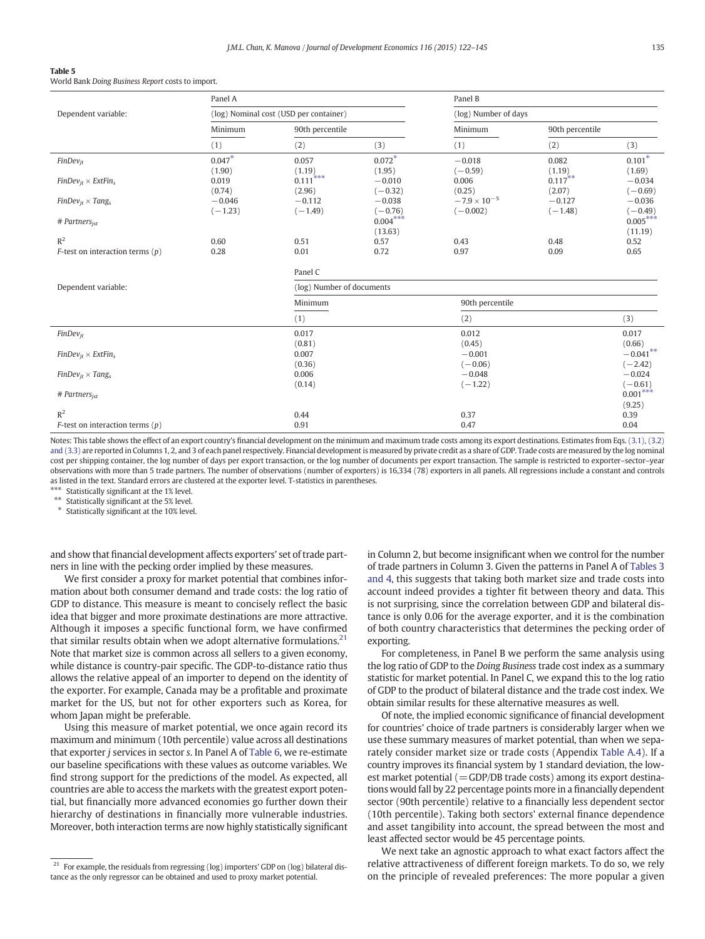#### <span id="page-13-0"></span>Table 5

World Bank Doing Business Report costs to import.

|                                               | Panel A               |                                        |                                     | Panel B                           |                       |                                   |  |
|-----------------------------------------------|-----------------------|----------------------------------------|-------------------------------------|-----------------------------------|-----------------------|-----------------------------------|--|
| Dependent variable:                           |                       | (log) Nominal cost (USD per container) |                                     | (log) Number of days              |                       |                                   |  |
|                                               | Minimum               |                                        | 90th percentile                     |                                   | 90th percentile       |                                   |  |
|                                               | (1)                   | (2)                                    | (3)                                 | (1)                               | (2)                   | (3)                               |  |
| $FinDev_{it}$                                 | $0.047*$<br>(1.90)    | 0.057<br>(1.19)                        | $0.072*$<br>(1.95)                  | $-0.018$<br>$(-0.59)$             | 0.082<br>(1.19)       | $0.101*$<br>(1.69)                |  |
| $FinDev_{it} \times ExtFin_s$                 | 0.019<br>(0.74)       | $0.111***$<br>(2.96)                   | $-0.010$<br>$(-0.32)$               | 0.006<br>(0.25)                   | $0.117***$<br>(2.07)  | $-0.034$<br>$(-0.69)$             |  |
| $FinDev_{it} \times Tang_{s}$                 | $-0.046$<br>$(-1.23)$ | $-0.112$<br>$(-1.49)$                  | $-0.038$<br>$(-0.76)$<br>$0.004***$ | $-7.9\times10^{-5}$<br>$(-0.002)$ | $-0.127$<br>$(-1.48)$ | $-0.036$<br>$(-0.49)$<br>0.005*** |  |
| $#$ Partners <sub>ist</sub>                   |                       |                                        | (13.63)                             |                                   |                       | (11.19)                           |  |
| $R^2$<br>$F$ -test on interaction terms $(p)$ | 0.60<br>0.28          | 0.51<br>0.01                           | 0.57<br>0.72                        | 0.43<br>0.97                      | 0.48<br>0.09          | 0.52<br>0.65                      |  |
|                                               |                       | Panel C                                |                                     |                                   |                       |                                   |  |
| Dependent variable:                           |                       | (log) Number of documents              |                                     |                                   |                       |                                   |  |
|                                               |                       | Minimum                                |                                     | 90th percentile                   |                       |                                   |  |
|                                               |                       | (1)                                    |                                     | (2)                               |                       | (3)                               |  |
| $FinDev_{it}$                                 |                       | 0.017<br>(0.81)                        |                                     | 0.012<br>(0.45)                   |                       | 0.017<br>(0.66)                   |  |
| $FinDev_{it} \times ExtFin_s$                 |                       | 0.007<br>(0.36)                        |                                     | $-0.001$<br>$(-0.06)$             |                       | $-0.041***$<br>$(-2.42)$          |  |
| $FinDev_{it} \times Tang_s$                   |                       | 0.006<br>(0.14)                        |                                     | $-0.048$<br>$(-1.22)$             |                       | $-0.024$<br>$(-0.61)$             |  |
| $#$ Partners <sub>ist</sub>                   |                       |                                        |                                     |                                   |                       | $0.001***$<br>(9.25)              |  |
| $R^2$<br>$F$ -test on interaction terms $(p)$ |                       | 0.44<br>0.91                           |                                     | 0.37<br>0.47                      |                       | 0.39<br>0.04                      |  |

Notes: This table shows the effect of an export country's financial development on the minimum and maximum trade costs among its export destinations. Estimates from Eqs. [\(3.1\), \(3.2\)](#page-6-0) [and \(3.3\)](#page-6-0) are reported in Columns 1, 2, and 3 of each panel respectively. Financial development is measured by private credit as a share of GDP. Trade costs are measured by the log nominal cost per shipping container, the log number of days per export transaction, or the log number of documents per export transaction. The sample is restricted to exporter–sector–year observations with more than 5 trade partners. The number of observations (number of exporters) is 16,334 (78) exporters in all panels. All regressions include a constant and controls as listed in the text. Standard errors are clustered at the exporter level. T-statistics in parentheses.

\*\*\* Statistically significant at the 1% level.

Statistically significant at the 5% level.

Statistically significant at the 10% level.

and show that financial development affects exporters' set of trade partners in line with the pecking order implied by these measures.

We first consider a proxy for market potential that combines information about both consumer demand and trade costs: the log ratio of GDP to distance. This measure is meant to concisely reflect the basic idea that bigger and more proximate destinations are more attractive. Although it imposes a specific functional form, we have confirmed that similar results obtain when we adopt alternative formulations. $2<sup>1</sup>$ Note that market size is common across all sellers to a given economy, while distance is country-pair specific. The GDP-to-distance ratio thus allows the relative appeal of an importer to depend on the identity of the exporter. For example, Canada may be a profitable and proximate market for the US, but not for other exporters such as Korea, for whom Japan might be preferable.

Using this measure of market potential, we once again record its maximum and minimum (10th percentile) value across all destinations that exporter j services in sector s. In Panel A of [Table 6](#page-14-0), we re-estimate our baseline specifications with these values as outcome variables. We find strong support for the predictions of the model. As expected, all countries are able to access the markets with the greatest export potential, but financially more advanced economies go further down their hierarchy of destinations in financially more vulnerable industries. Moreover, both interaction terms are now highly statistically significant

in Column 2, but become insignificant when we control for the number of trade partners in Column 3. Given the patterns in Panel A of [Tables 3](#page-10-0) [and 4,](#page-10-0) this suggests that taking both market size and trade costs into account indeed provides a tighter fit between theory and data. This is not surprising, since the correlation between GDP and bilateral distance is only 0.06 for the average exporter, and it is the combination of both country characteristics that determines the pecking order of exporting.

For completeness, in Panel B we perform the same analysis using the log ratio of GDP to the Doing Business trade cost index as a summary statistic for market potential. In Panel C, we expand this to the log ratio of GDP to the product of bilateral distance and the trade cost index. We obtain similar results for these alternative measures as well.

Of note, the implied economic significance of financial development for countries' choice of trade partners is considerably larger when we use these summary measures of market potential, than when we separately consider market size or trade costs (Appendix [Table A.4](#page-22-0)). If a country improves its financial system by 1 standard deviation, the lowest market potential  $(=\text{GDP}/\text{DB}$  trade costs) among its export destinations would fall by 22 percentage points more in a financially dependent sector (90th percentile) relative to a financially less dependent sector (10th percentile). Taking both sectors' external finance dependence and asset tangibility into account, the spread between the most and least affected sector would be 45 percentage points.

We next take an agnostic approach to what exact factors affect the relative attractiveness of different foreign markets. To do so, we rely on the principle of revealed preferences: The more popular a given

<sup>&</sup>lt;sup>21</sup> For example, the residuals from regressing (log) importers' GDP on (log) bilateral distance as the only regressor can be obtained and used to proxy market potential.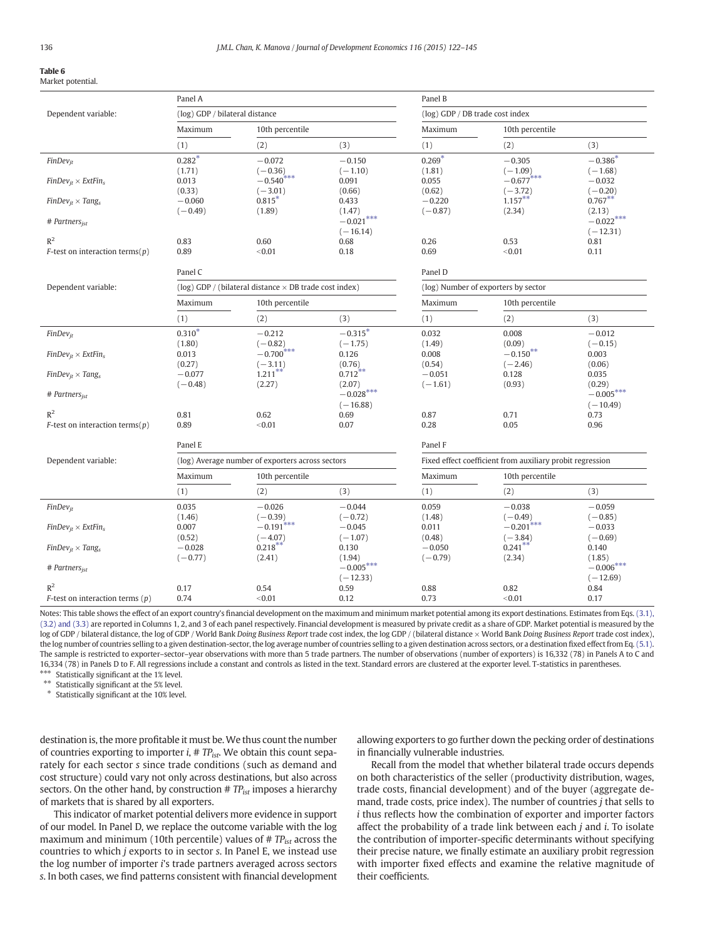#### <span id="page-14-0"></span>Table 6 Market potential.

|                                               | Panel A                        |                                                               |                                    | Panel B                         |                                                           |                                    |  |  |
|-----------------------------------------------|--------------------------------|---------------------------------------------------------------|------------------------------------|---------------------------------|-----------------------------------------------------------|------------------------------------|--|--|
| Dependent variable:                           | (log) GDP / bilateral distance |                                                               |                                    | (log) GDP / DB trade cost index |                                                           |                                    |  |  |
|                                               | Maximum                        | 10th percentile                                               |                                    | Maximum                         | 10th percentile                                           |                                    |  |  |
|                                               | (1)                            | (2)                                                           | (3)                                | (1)                             | (2)                                                       | (3)                                |  |  |
| $FinDev_{it}$                                 | $0.282*$                       | $-0.072$                                                      | $-0.150$                           | $0.269*$                        | $-0.305$                                                  | $-0.386*$                          |  |  |
| $FinDev_{ir} \times ExtFin$                   | (1.71)<br>0.013<br>(0.33)      | $(-0.36)$<br>$-0.540^{***}$<br>$(-3.01)$                      | $(-1.10)$<br>0.091<br>(0.66)       | (1.81)<br>0.055<br>(0.62)       | $(-1.09)$<br>$-0.677^{***}$<br>$(-3.72)$                  | $(-1.68)$<br>$-0.032$<br>$(-0.20)$ |  |  |
| $FinDev_{it} \times Tang_{s}$                 | $-0.060$<br>$(-0.49)$          | $0.815*$<br>(1.89)                                            | 0.433<br>(1.47)                    | $-0.220$<br>$(-0.87)$           | $1.157***$<br>(2.34)                                      | $0.767***$<br>(2.13)               |  |  |
| $#$ Partners <sub>ist</sub>                   |                                |                                                               | $-0.021***$<br>$(-16.14)$          |                                 |                                                           | $-0.022***$<br>$(-12.31)$          |  |  |
| $R^2$                                         | 0.83                           | 0.60                                                          | 0.68                               | 0.26                            | 0.53                                                      | 0.81                               |  |  |
| <i>F</i> -test on interaction terms( $p$ )    | 0.89                           | < 0.01                                                        | 0.18                               | 0.69                            | < 0.01                                                    | 0.11                               |  |  |
|                                               | Panel C                        |                                                               |                                    | Panel D                         |                                                           |                                    |  |  |
| Dependent variable:                           |                                | (log) GDP / (bilateral distance $\times$ DB trade cost index) |                                    |                                 | (log) Number of exporters by sector                       |                                    |  |  |
|                                               | Maximum                        | 10th percentile                                               |                                    | Maximum                         | 10th percentile                                           |                                    |  |  |
|                                               | (1)                            | (2)                                                           | (3)                                | (1)                             | (2)                                                       | (3)                                |  |  |
| $FinDev_{it}$                                 | $0.310*$                       | $-0.212$                                                      | $-0.315*$                          | 0.032                           | 0.008                                                     | $-0.012$                           |  |  |
| $FinDev_{it} \times ExtFin_s$                 | (1.80)<br>0.013<br>(0.27)      | $(-0.82)$<br>$-0.700^{***}$<br>$(-3.11)$                      | $(-1.75)$<br>0.126<br>(0.76)       | (1.49)<br>0.008<br>(0.54)       | (0.09)<br>$-0.150**$<br>$(-2.46)$                         | $(-0.15)$<br>0.003<br>(0.06)       |  |  |
| $FinDev_{it} \times Tang_{s}$                 | $-0.077$<br>$(-0.48)$          | $1.211***$<br>(2.27)                                          | $0.712**$<br>(2.07)                | $-0.051$<br>$(-1.61)$           | 0.128<br>(0.93)                                           | 0.035<br>(0.29)                    |  |  |
| $#$ Partners <sub>ist</sub>                   |                                |                                                               | $-0.028***$<br>$(-16.88)$          |                                 |                                                           | $-0.005***$<br>$(-10.49)$          |  |  |
| $R^2$                                         | 0.81                           | 0.62                                                          | 0.69                               | 0.87                            | 0.71                                                      | 0.73                               |  |  |
| <i>F</i> -test on interaction terms( $p$ )    | 0.89                           | < 0.01                                                        | 0.07                               | 0.28                            | 0.05                                                      | 0.96                               |  |  |
|                                               | Panel E                        |                                                               |                                    | Panel F                         |                                                           |                                    |  |  |
| Dependent variable:                           |                                | (log) Average number of exporters across sectors              |                                    |                                 | Fixed effect coefficient from auxiliary probit regression |                                    |  |  |
|                                               | Maximum                        | 10th percentile                                               |                                    | Maximum                         | 10th percentile                                           |                                    |  |  |
|                                               | (1)                            | (2)                                                           | (3)                                | (1)                             | (2)                                                       | (3)                                |  |  |
| $FinDev_{it}$                                 | 0.035                          | $-0.026$                                                      | $-0.044$                           | 0.059                           | $-0.038$                                                  | $-0.059$                           |  |  |
| $FinDev_{it} \times ExtFin_s$                 | (1.46)<br>0.007<br>(0.52)      | $(-0.39)$<br>$-0.191$ ***<br>$(-4.07)$                        | $(-0.72)$<br>$-0.045$<br>$(-1.07)$ | (1.48)<br>0.011<br>(0.48)       | $(-0.49)$<br>$-0.201$ <sup>***</sup><br>$(-3.84)$         | $(-0.85)$<br>$-0.033$<br>$(-0.69)$ |  |  |
| $FinDev_{it} \times Tang_s$                   | $-0.028$<br>$(-0.77)$          | $0.218***$<br>(2.41)                                          | 0.130<br>(1.94)                    | $-0.050$<br>$(-0.79)$           | $0.241***$<br>(2.34)                                      | 0.140<br>(1.85)                    |  |  |
| $#$ Partners <sub>ist</sub>                   |                                |                                                               | $-0.005***$<br>$(-12.33)$          |                                 |                                                           | $-0.006***$<br>$(-12.69)$          |  |  |
| $R^2$<br>$F$ -test on interaction terms $(p)$ | 0.17<br>0.74                   | 0.54<br>< 0.01                                                | 0.59<br>0.12                       | 0.88<br>0.73                    | 0.82<br>< 0.01                                            | 0.84<br>0.17                       |  |  |
|                                               |                                |                                                               |                                    |                                 |                                                           |                                    |  |  |

Notes: This table shows the effect of an export country's financial development on the maximum and minimum market potential among its export destinations. Estimates from Eqs. [\(3.1\),](#page-6-0) [\(3.2\) and \(3.3\)](#page-6-0) are reported in Columns 1, 2, and 3 of each panel respectively. Financial development is measured by private credit as a share of GDP. Market potential is measured by the log of GDP / bilateral distance, the log of GDP / World Bank Doing Business Report trade cost index, the log GDP / (bilateral distance × World Bank Doing Business Report trade cost index), the log number of countries selling to a given destination-sector, the log average number of countries selling to a given destination across sectors, or a destination fixed effect from Eq. [\(5.1\)](#page-15-0). The sample is restricted to exporter–sector–year observations with more than 5 trade partners. The number of observations (number of exporters) is 16,332 (78) in Panels A to C and 16,334 (78) in Panels D to F. All regressions include a constant and controls as listed in the text. Standard errors are clustered at the exporter level. T-statistics in parentheses.

Statistically significant at the 1% level. ⁎⁎ Statistically significant at the 5% level.

⁎ Statistically significant at the 10% level.

destination is, the more profitable it must be. We thus count the number of countries exporting to importer  $i$ , #  $TP_{ist}$ . We obtain this count separately for each sector s since trade conditions (such as demand and cost structure) could vary not only across destinations, but also across sectors. On the other hand, by construction  $#TP_{ist}$  imposes a hierarchy of markets that is shared by all exporters.

This indicator of market potential delivers more evidence in support of our model. In Panel D, we replace the outcome variable with the log maximum and minimum (10th percentile) values of  $# TP_{ist}$  across the countries to which j exports to in sector s. In Panel E, we instead use the log number of importer i's trade partners averaged across sectors s. In both cases, we find patterns consistent with financial development allowing exporters to go further down the pecking order of destinations in financially vulnerable industries.

Recall from the model that whether bilateral trade occurs depends on both characteristics of the seller (productivity distribution, wages, trade costs, financial development) and of the buyer (aggregate demand, trade costs, price index). The number of countries j that sells to i thus reflects how the combination of exporter and importer factors affect the probability of a trade link between each  $j$  and  $i$ . To isolate the contribution of importer-specific determinants without specifying their precise nature, we finally estimate an auxiliary probit regression with importer fixed effects and examine the relative magnitude of their coefficients.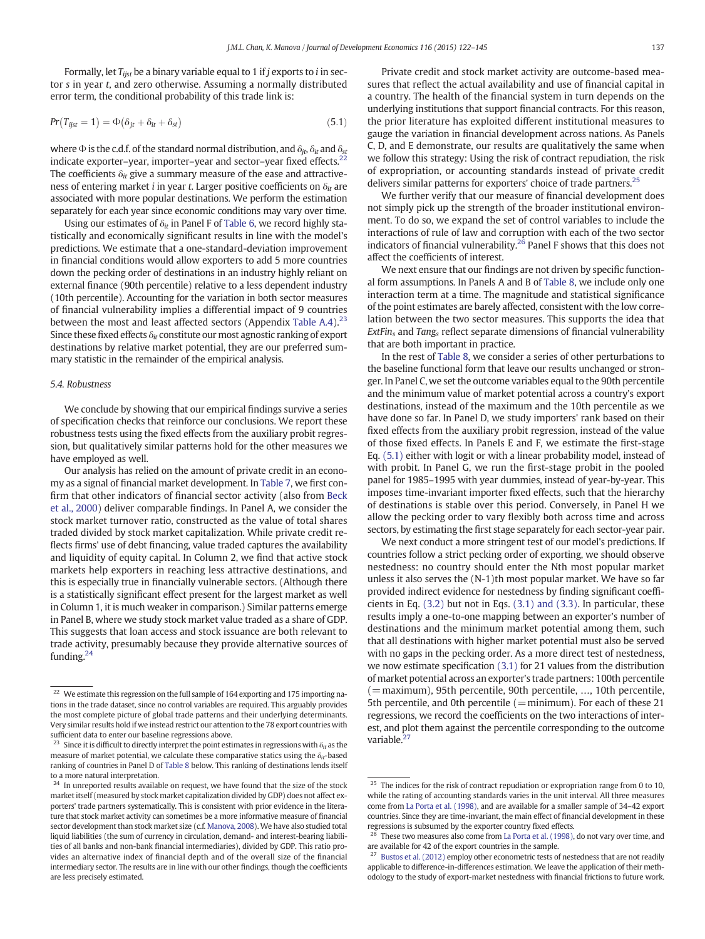<span id="page-15-0"></span>Formally, let  $T_{ijst}$  be a binary variable equal to 1 if j exports to i in sector s in year t, and zero otherwise. Assuming a normally distributed error term, the conditional probability of this trade link is:

$$
Pr(T_{ijst} = 1) = \Phi(\delta_{jt} + \delta_{it} + \delta_{st})
$$
\n(5.1)

where  $\Phi$  is the c.d.f. of the standard normal distribution, and  $\delta_{it}$ ,  $\delta_{it}$  and  $\delta_{st}$ indicate exporter-year, importer-year and sector-year fixed effects.<sup>22</sup> The coefficients  $\delta_{it}$  give a summary measure of the ease and attractiveness of entering market *i* in year *t*. Larger positive coefficients on  $\delta_{it}$  are associated with more popular destinations. We perform the estimation separately for each year since economic conditions may vary over time.

Using our estimates of  $\delta_{it}$  in Panel F of [Table 6,](#page-14-0) we record highly statistically and economically significant results in line with the model's predictions. We estimate that a one-standard-deviation improvement in financial conditions would allow exporters to add 5 more countries down the pecking order of destinations in an industry highly reliant on external finance (90th percentile) relative to a less dependent industry (10th percentile). Accounting for the variation in both sector measures of financial vulnerability implies a differential impact of 9 countries between the most and least affected sectors (Appendix [Table A.4](#page-22-0)).<sup>23</sup> Since these fixed effects  $\delta_{it}$  constitute our most agnostic ranking of export destinations by relative market potential, they are our preferred summary statistic in the remainder of the empirical analysis.

#### 5.4. Robustness

We conclude by showing that our empirical findings survive a series of specification checks that reinforce our conclusions. We report these robustness tests using the fixed effects from the auxiliary probit regression, but qualitatively similar patterns hold for the other measures we have employed as well.

Our analysis has relied on the amount of private credit in an economy as a signal of financial market development. In [Table 7,](#page-16-0) we first confirm that other indicators of financial sector activity (also from [Beck](#page-22-0) [et al., 2000](#page-22-0)) deliver comparable findings. In Panel A, we consider the stock market turnover ratio, constructed as the value of total shares traded divided by stock market capitalization. While private credit reflects firms' use of debt financing, value traded captures the availability and liquidity of equity capital. In Column 2, we find that active stock markets help exporters in reaching less attractive destinations, and this is especially true in financially vulnerable sectors. (Although there is a statistically significant effect present for the largest market as well in Column 1, it is much weaker in comparison.) Similar patterns emerge in Panel B, where we study stock market value traded as a share of GDP. This suggests that loan access and stock issuance are both relevant to trade activity, presumably because they provide alternative sources of funding.24

Private credit and stock market activity are outcome-based measures that reflect the actual availability and use of financial capital in a country. The health of the financial system in turn depends on the underlying institutions that support financial contracts. For this reason, the prior literature has exploited different institutional measures to gauge the variation in financial development across nations. As Panels C, D, and E demonstrate, our results are qualitatively the same when we follow this strategy: Using the risk of contract repudiation, the risk of expropriation, or accounting standards instead of private credit delivers similar patterns for exporters' choice of trade partners.<sup>25</sup>

We further verify that our measure of financial development does not simply pick up the strength of the broader institutional environment. To do so, we expand the set of control variables to include the interactions of rule of law and corruption with each of the two sector indicators of financial vulnerability.<sup>26</sup> Panel F shows that this does not affect the coefficients of interest.

We next ensure that our findings are not driven by specific functional form assumptions. In Panels A and B of [Table 8](#page-17-0), we include only one interaction term at a time. The magnitude and statistical significance of the point estimates are barely affected, consistent with the low correlation between the two sector measures. This supports the idea that  $ExtFin<sub>s</sub>$  and Tang<sub>s</sub> reflect separate dimensions of financial vulnerability that are both important in practice.

In the rest of [Table 8,](#page-17-0) we consider a series of other perturbations to the baseline functional form that leave our results unchanged or stronger. In Panel C, we set the outcome variables equal to the 90th percentile and the minimum value of market potential across a country's export destinations, instead of the maximum and the 10th percentile as we have done so far. In Panel D, we study importers' rank based on their fixed effects from the auxiliary probit regression, instead of the value of those fixed effects. In Panels E and F, we estimate the first-stage Eq. (5.1) either with logit or with a linear probability model, instead of with probit. In Panel G, we run the first-stage probit in the pooled panel for 1985–1995 with year dummies, instead of year-by-year. This imposes time-invariant importer fixed effects, such that the hierarchy of destinations is stable over this period. Conversely, in Panel H we allow the pecking order to vary flexibly both across time and across sectors, by estimating the first stage separately for each sector-year pair.

We next conduct a more stringent test of our model's predictions. If countries follow a strict pecking order of exporting, we should observe nestedness: no country should enter the Nth most popular market unless it also serves the (N-1)th most popular market. We have so far provided indirect evidence for nestedness by finding significant coefficients in Eq. [\(3.2\)](#page-6-0) but not in Eqs. [\(3.1\) and \(3.3\)](#page-6-0). In particular, these results imply a one-to-one mapping between an exporter's number of destinations and the minimum market potential among them, such that all destinations with higher market potential must also be served with no gaps in the pecking order. As a more direct test of nestedness, we now estimate specification [\(3.1\)](#page-6-0) for 21 values from the distribution of market potential across an exporter's trade partners: 100th percentile (=maximum), 95th percentile, 90th percentile, …, 10th percentile, 5th percentile, and 0th percentile  $(=$ minimum). For each of these 21 regressions, we record the coefficients on the two interactions of interest, and plot them against the percentile corresponding to the outcome variable. $<sup>2</sup>$ </sup>

<sup>&</sup>lt;sup>22</sup> We estimate this regression on the full sample of 164 exporting and 175 importing nations in the trade dataset, since no control variables are required. This arguably provides the most complete picture of global trade patterns and their underlying determinants. Very similar results hold if we instead restrict our attention to the 78 export countries with sufficient data to enter our baseline regressions above.

Since it is difficult to directly interpret the point estimates in regressions with  $\delta_{it}$  as the measure of market potential, we calculate these comparative statics using the  $\delta_{it}$ -based ranking of countries in Panel D of [Table 8](#page-17-0) below. This ranking of destinations lends itself to a more natural interpretation.

 $24$  In unreported results available on request, we have found that the size of the stock market itself (measured by stock market capitalization divided by GDP) does not affect exporters' trade partners systematically. This is consistent with prior evidence in the literature that stock market activity can sometimes be a more informative measure of financial sector development than stock market size (c.f. [Manova, 2008\)](#page-23-0). We have also studied total liquid liabilities (the sum of currency in circulation, demand- and interest-bearing liabilities of all banks and non-bank financial intermediaries), divided by GDP. This ratio provides an alternative index of financial depth and of the overall size of the financial intermediary sector. The results are in line with our other findings, though the coefficients are less precisely estimated.

 $25$  The indices for the risk of contract repudiation or expropriation range from 0 to 10, while the rating of accounting standards varies in the unit interval. All three measures come from [La Porta et al. \(1998\)](#page-23-0), and are available for a smaller sample of 34–42 export countries. Since they are time-invariant, the main effect of financial development in these regressions is subsumed by the exporter country fixed effects.

 $26$  These two measures also come from [La Porta et al. \(1998\)](#page-23-0), do not vary over time, and

are available for 42 of the export countries in the sample.<br><sup>27</sup> [Bustos et al. \(2012\)](#page-22-0) employ other econometric tests of nestedness that are not readily applicable to difference-in-differences estimation. We leave the application of their methodology to the study of export-market nestedness with financial frictions to future work.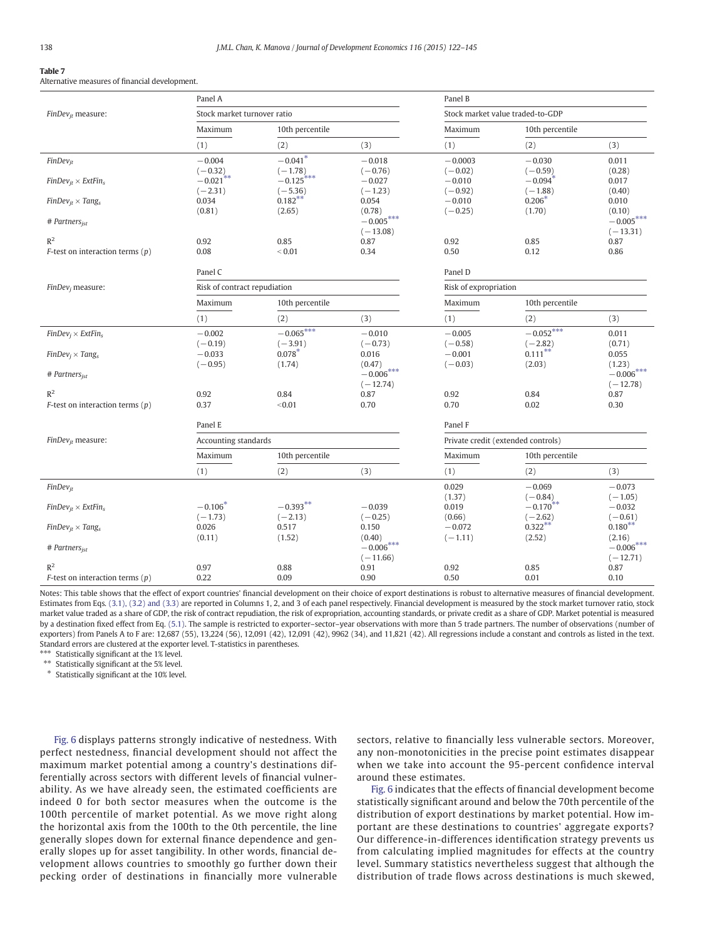### <span id="page-16-0"></span>Table 7

Alternative measures of financial development.

|                                                                               | Panel A                                        |                                                 |                                                         | Panel B                                        |                                                   |                                                   |  |
|-------------------------------------------------------------------------------|------------------------------------------------|-------------------------------------------------|---------------------------------------------------------|------------------------------------------------|---------------------------------------------------|---------------------------------------------------|--|
| $FinDev_{it}$ measure:                                                        | Stock market turnover ratio                    |                                                 |                                                         |                                                | Stock market value traded-to-GDP                  |                                                   |  |
|                                                                               | Maximum                                        | 10th percentile                                 |                                                         | Maximum                                        |                                                   |                                                   |  |
|                                                                               | (1)                                            | (2)                                             | (3)                                                     | (1)                                            | (2)                                               | (3)                                               |  |
| $FinDev_{it}$                                                                 | $-0.004$                                       | $-0.041$ <sup>*</sup>                           | $-0.018$                                                | $-0.0003$                                      | $-0.030$                                          | 0.011                                             |  |
| $FinDev_{it} \times ExtFin_s$                                                 | $(-0.32)$<br>$-0.021$ **<br>$(-2.31)$          | $(-1.78)$<br>$-0.125^{***}$<br>$(-5.36)$        | $(-0.76)$<br>$-0.027$<br>$(-1.23)$                      | $(-0.02)$<br>$-0.010$<br>$(-0.92)$             | $(-0.59)$<br>$-0.094*$<br>$(-1.88)$               | (0.28)<br>0.017<br>(0.40)                         |  |
| $FinDev_{it} \times Tang_{s}$                                                 | 0.034<br>(0.81)                                | $0.182***$<br>(2.65)                            | 0.054<br>(0.78)                                         | $-0.010$<br>$(-0.25)$                          | $0.206*$<br>(1.70)                                | 0.010<br>(0.10)                                   |  |
| $#$ Partners <sub>ist</sub>                                                   |                                                |                                                 | $-0.005***$<br>$(-13.08)$                               |                                                |                                                   | $-0.005***$<br>$(-13.31)$                         |  |
| $R^2$<br><i>F</i> -test on interaction terms $(p)$                            | 0.92<br>0.08                                   | 0.85<br>< 0.01                                  | 0.87<br>0.34                                            | 0.92<br>0.50                                   | 0.85<br>0.12                                      | 0.87<br>0.86                                      |  |
|                                                                               | Panel C                                        |                                                 |                                                         | Panel D                                        |                                                   |                                                   |  |
| FinDev <sub>i</sub> measure:                                                  | Risk of contract repudiation                   |                                                 |                                                         | Risk of expropriation                          |                                                   |                                                   |  |
|                                                                               | Maximum                                        | 10th percentile                                 |                                                         | Maximum                                        | 10th percentile                                   |                                                   |  |
|                                                                               | (1)                                            | (2)                                             | (3)                                                     | (1)                                            | (2)                                               | (3)                                               |  |
| $FinDev_i \times ExtFin_s$<br>$FinDev_i \times Tang_s$<br># Partners $_{ist}$ | $-0.002$<br>$(-0.19)$<br>$-0.033$<br>$(-0.95)$ | $-0.065$ ***<br>$(-3.91)$<br>$0.078*$<br>(1.74) | $-0.010$<br>$(-0.73)$<br>0.016<br>(0.47)<br>$-0.006***$ | $-0.005$<br>$(-0.58)$<br>$-0.001$<br>$(-0.03)$ | $-0.052$ ***<br>$(-2.82)$<br>$0.111***$<br>(2.03) | 0.011<br>(0.71)<br>0.055<br>(1.23)<br>$-0.006***$ |  |
| $R^2$                                                                         | 0.92                                           | 0.84                                            | $(-12.74)$<br>0.87                                      | 0.92                                           | 0.84                                              | $(-12.78)$<br>0.87                                |  |
| <i>F</i> -test on interaction terms $(p)$                                     | 0.37                                           | < 0.01                                          | 0.70                                                    | 0.70                                           | 0.02                                              | 0.30                                              |  |
|                                                                               | Panel E                                        |                                                 |                                                         | Panel F                                        |                                                   |                                                   |  |
| $FinDev_{it}$ measure:                                                        | Accounting standards                           |                                                 |                                                         |                                                | Private credit (extended controls)                |                                                   |  |
|                                                                               | Maximum                                        | 10th percentile                                 |                                                         | Maximum                                        | 10th percentile                                   |                                                   |  |
|                                                                               | (1)                                            | (2)                                             | (3)                                                     | (1)                                            | (2)                                               | (3)                                               |  |
| $FinDev_{it}$                                                                 |                                                |                                                 |                                                         | 0.029                                          | $-0.069$                                          | $-0.073$                                          |  |
| $FinDev_{it} \times ExtFin_s$                                                 | $-0.106*$<br>$(-1.73)$                         | $-0.393**$<br>$(-2.13)$                         | $-0.039$<br>$(-0.25)$                                   | (1.37)<br>0.019<br>(0.66)                      | $(-0.84)$<br>$-0.170$ **<br>$(-2.62)$             | $(-1.05)$<br>$-0.032$<br>$(-0.61)$                |  |
| $FinDev_{it} \times Tang_{s}$                                                 | 0.026<br>(0.11)                                | 0.517<br>(1.52)                                 | 0.150<br>(0.40)                                         | $-0.072$<br>$(-1.11)$                          | $0.322***$<br>(2.52)                              | $0.180**$<br>(2.16)                               |  |
| $#$ Partners <sub>ist</sub>                                                   |                                                |                                                 | $-0.006***$<br>$(-11.66)$                               |                                                |                                                   | $-0.006***$<br>$(-12.71)$                         |  |
| $R^2$<br>$F$ -test on interaction terms $(p)$                                 | 0.97<br>0.22                                   | 0.88<br>0.09                                    | 0.91<br>0.90                                            | 0.92<br>0.50                                   | 0.85<br>0.01                                      | 0.87<br>0.10                                      |  |

Notes: This table shows that the effect of export countries' financial development on their choice of export destinations is robust to alternative measures of financial development. Estimates from Eqs. [\(3.1\), \(3.2\) and \(3.3\)](#page-6-0) are reported in Columns 1, 2, and 3 of each panel respectively. Financial development is measured by the stock market turnover ratio, stock market value traded as a share of GDP, the risk of contract repudiation, the risk of expropriation, accounting standards, or private credit as a share of GDP. Market potential is measured by a destination fixed effect from Eq. [\(5.1\)](#page-15-0). The sample is restricted to exporter–sector–year observations with more than 5 trade partners. The number of observations (number of exporters) from Panels A to F are: 12,687 (55), 13,224 (56), 12,091 (42), 12,091 (42), 9962 (34), and 11,821 (42). All regressions include a constant and controls as listed in the text. Standard errors are clustered at the exporter level. T-statistics in parentheses.

⁎⁎⁎ Statistically significant at the 1% level.

 $^{**}$  Statistically significant at the 5% level.

⁎ Statistically significant at the 10% level.

[Fig. 6](#page-18-0) displays patterns strongly indicative of nestedness. With perfect nestedness, financial development should not affect the maximum market potential among a country's destinations differentially across sectors with different levels of financial vulnerability. As we have already seen, the estimated coefficients are indeed 0 for both sector measures when the outcome is the 100th percentile of market potential. As we move right along the horizontal axis from the 100th to the 0th percentile, the line generally slopes down for external finance dependence and generally slopes up for asset tangibility. In other words, financial development allows countries to smoothly go further down their pecking order of destinations in financially more vulnerable

sectors, relative to financially less vulnerable sectors. Moreover, any non-monotonicities in the precise point estimates disappear when we take into account the 95-percent confidence interval around these estimates.

[Fig. 6](#page-18-0) indicates that the effects of financial development become statistically significant around and below the 70th percentile of the distribution of export destinations by market potential. How important are these destinations to countries' aggregate exports? Our difference-in-differences identification strategy prevents us from calculating implied magnitudes for effects at the country level. Summary statistics nevertheless suggest that although the distribution of trade flows across destinations is much skewed,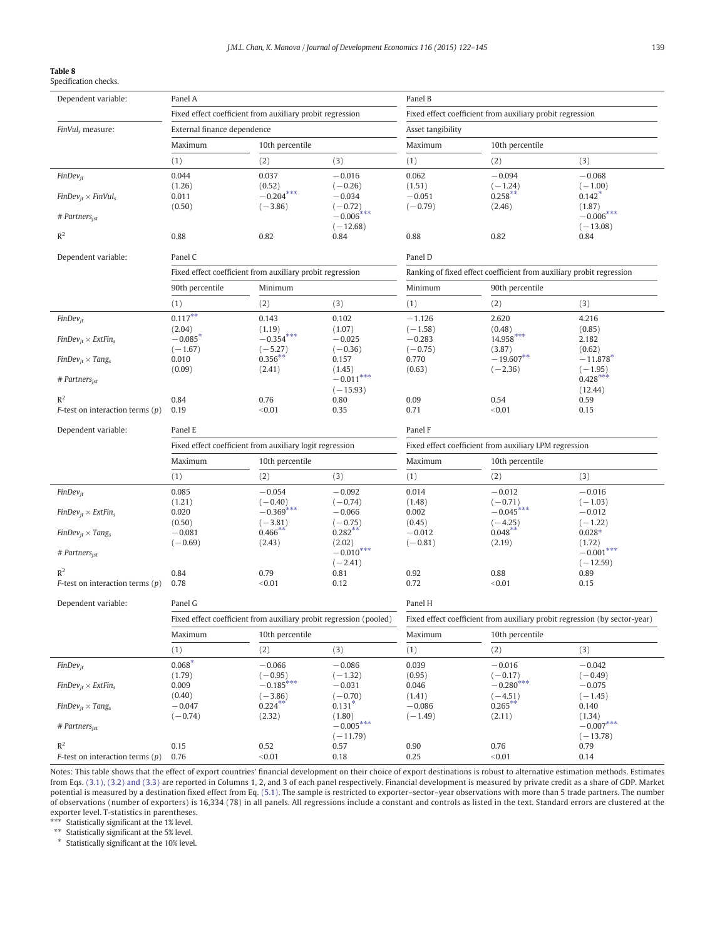#### <span id="page-17-0"></span>Table 8

Specification checks.

| Dependent variable:                                | Panel A                     |                                                                    |                        | Panel B                                                |                                                                      |                                                                            |  |
|----------------------------------------------------|-----------------------------|--------------------------------------------------------------------|------------------------|--------------------------------------------------------|----------------------------------------------------------------------|----------------------------------------------------------------------------|--|
|                                                    |                             | Fixed effect coefficient from auxiliary probit regression          |                        |                                                        | Fixed effect coefficient from auxiliary probit regression            |                                                                            |  |
| FinVul, measure:                                   | External finance dependence |                                                                    |                        | Asset tangibility                                      |                                                                      |                                                                            |  |
|                                                    | Maximum                     | 10th percentile                                                    |                        | Maximum                                                | 10th percentile                                                      |                                                                            |  |
|                                                    | (1)                         | (2)                                                                | (3)                    | (1)                                                    | (2)                                                                  | (3)                                                                        |  |
| $FinDev_{it}$                                      | 0.044                       | 0.037                                                              | $-0.016$               | 0.062                                                  | $-0.094$                                                             | $-0.068$                                                                   |  |
|                                                    | (1.26)<br>0.011             | (0.52)<br>$-0.204***$                                              | $(-0.26)$<br>$-0.034$  | (1.51)<br>$-0.051$                                     | $(-1.24)$<br>$0.258***$                                              | $(-1.00)$<br>$0.142*$                                                      |  |
| $FinDev_{it} \times FinVul_s$                      | (0.50)                      | $(-3.86)$                                                          | $(-0.72)$<br>-0.006*** | $(-0.79)$                                              | (2.46)                                                               | (1.87)                                                                     |  |
| $#$ Partners <sub>ist</sub>                        |                             |                                                                    | $(-12.68)$             |                                                        |                                                                      | $-0.006***$<br>$(-13.08)$                                                  |  |
| $R^2$                                              | 0.88                        | 0.82                                                               | 0.84                   | 0.88                                                   | 0.82                                                                 | 0.84                                                                       |  |
| Dependent variable:                                | Panel C                     |                                                                    |                        | Panel D                                                |                                                                      |                                                                            |  |
|                                                    |                             | Fixed effect coefficient from auxiliary probit regression          |                        |                                                        | Ranking of fixed effect coefficient from auxiliary probit regression |                                                                            |  |
|                                                    | 90th percentile             | Minimum                                                            |                        | Minimum                                                | 90th percentile                                                      |                                                                            |  |
|                                                    | (1)                         | (2)                                                                | (3)                    | (1)                                                    | (2)                                                                  | (3)                                                                        |  |
| $FinDev_{it}$                                      | $0.117***$                  | 0.143                                                              | 0.102                  | $-1.126$                                               | 2.620                                                                | 4.216                                                                      |  |
|                                                    | (2.04)                      | (1.19)                                                             | (1.07)                 | $(-1.58)$                                              | (0.48)                                                               | (0.85)                                                                     |  |
| $FinDev_{it} \times ExtFin_s$                      | $-0.085*$                   | $-0.354***$                                                        | $-0.025$               | $-0.283$                                               | $14.958***$                                                          | 2.182                                                                      |  |
|                                                    | $(-1.67)$                   | $(-5.27)$                                                          | $(-0.36)$              | $(-0.75)$                                              | (3.87)                                                               | (0.62)                                                                     |  |
| $FinDev_{it} \times Tang_s$                        | 0.010                       | $0.356**$                                                          | 0.157                  | 0.770                                                  | $-19.607***$                                                         | $-11.878*$                                                                 |  |
|                                                    | (0.09)                      | (2.41)                                                             | (1.45)                 | (0.63)                                                 | $(-2.36)$                                                            | $(-1.95)$                                                                  |  |
| $#$ Partners <sub>ist</sub>                        |                             |                                                                    | $-0.011***$            |                                                        |                                                                      | $0.428***$                                                                 |  |
|                                                    |                             |                                                                    | $(-15.93)$             |                                                        |                                                                      | (12.44)                                                                    |  |
| $R^2$                                              | 0.84                        | 0.76                                                               | 0.80                   | 0.09                                                   | 0.54                                                                 | 0.59                                                                       |  |
| <i>F</i> -test on interaction terms $(p)$          | 0.19                        | < 0.01                                                             | 0.35                   | 0.71                                                   | < 0.01                                                               | 0.15                                                                       |  |
| Dependent variable:                                | Panel E                     |                                                                    |                        | Panel F                                                |                                                                      |                                                                            |  |
|                                                    |                             | Fixed effect coefficient from auxiliary logit regression           |                        | Fixed effect coefficient from auxiliary LPM regression |                                                                      |                                                                            |  |
|                                                    |                             |                                                                    |                        |                                                        |                                                                      |                                                                            |  |
|                                                    | Maximum                     | 10th percentile                                                    |                        | Maximum                                                | 10th percentile                                                      |                                                                            |  |
|                                                    | (1)                         | (2)                                                                | (3)                    | (1)                                                    | (2)                                                                  | (3)                                                                        |  |
| $FinDev_{it}$                                      | 0.085                       | $-0.054$                                                           | $-0.092$               | 0.014                                                  | $-0.012$                                                             | $-0.016$                                                                   |  |
|                                                    | (1.21)                      |                                                                    | $(-0.74)$              | (1.48)                                                 | $(-0.71)$                                                            | $(-1.03)$                                                                  |  |
| $FinDev_{it} \times ExtFin_s$                      | 0.020                       | $(-0.40)$<br>-0.369***                                             | $-0.066$               | 0.002                                                  | $-0.045$ ***                                                         | $-0.012$                                                                   |  |
|                                                    | (0.50)                      | $(-3.81)$                                                          | $(-0.75)$              | (0.45)                                                 | $(-4.25)$                                                            | $(-1.22)$                                                                  |  |
| $FinDev_{it} \times Tang_s$                        | $-0.081$                    | $0.466$ **                                                         | $0.282***$             | $-0.012$                                               | $0.048***$                                                           | $0.028*$                                                                   |  |
|                                                    | $(-0.69)$                   | (2.43)                                                             | (2.02)                 | $(-0.81)$                                              | (2.19)                                                               | (1.72)                                                                     |  |
| $#$ Partners <sub>ist</sub>                        |                             |                                                                    | $-0.010***$            |                                                        |                                                                      | $-0.001***$                                                                |  |
|                                                    |                             |                                                                    | $(-2.41)$              |                                                        |                                                                      | $(-12.59)$                                                                 |  |
| $R^2$                                              | 0.84                        | 0.79                                                               | 0.81                   | 0.92                                                   | 0.88                                                                 | 0.89                                                                       |  |
| <i>F</i> -test on interaction terms $(p)$          | 0.78                        | < 0.01                                                             | 0.12                   | 0.72                                                   | < 0.01                                                               | 0.15                                                                       |  |
| Dependent variable:                                | Panel G                     |                                                                    |                        | Panel H                                                |                                                                      |                                                                            |  |
|                                                    |                             | Fixed effect coefficient from auxiliary probit regression (pooled) |                        |                                                        |                                                                      | Fixed effect coefficient from auxiliary probit regression (by sector-year) |  |
|                                                    | Maximum                     | 10th percentile                                                    |                        | Maximum                                                | 10th percentile                                                      |                                                                            |  |
|                                                    | (1)                         | (2)                                                                | (3)                    | (1)                                                    | (2)                                                                  | (3)                                                                        |  |
| $FinDev_{it}$                                      | $0.068*$                    | $-0.066$                                                           | $-0.086$               | 0.039                                                  | $-0.016$                                                             | $-0.042$                                                                   |  |
|                                                    | (1.79)                      | $(-0.95)$                                                          | $(-1.32)$              | (0.95)                                                 | $(-0.17)$                                                            | $(-0.49)$                                                                  |  |
| $FinDev_{it} \times ExtFin_s$                      | 0.009                       |                                                                    | $-0.031$               | 0.046                                                  |                                                                      | $-0.075$                                                                   |  |
|                                                    | (0.40)                      | $-0.185^{***}$                                                     |                        |                                                        | $-0.280$ ***                                                         |                                                                            |  |
|                                                    | $-0.047$                    | $(-3.86)$<br>$0.224***$                                            | $(-0.70)$<br>$0.131*$  | (1.41)<br>$-0.086$                                     | $(-4.51)$<br>$0.265***$                                              | $(-1.45)$<br>0.140                                                         |  |
| $FinDev_{it} \times Tang_s$                        | $(-0.74)$                   | (2.32)                                                             | (1.80)                 | $(-1.49)$                                              | (2.11)                                                               | (1.34)                                                                     |  |
| $#$ Partners <sub>ist</sub>                        |                             |                                                                    | $-0.005***$            |                                                        |                                                                      | $-0.007***$                                                                |  |
|                                                    |                             |                                                                    | $(-11.79)$             |                                                        |                                                                      | $(-13.78)$                                                                 |  |
| $R^2$<br><i>F</i> -test on interaction terms $(p)$ | 0.15<br>0.76                | 0.52<br>< 0.01                                                     | 0.57<br>0.18           | 0.90<br>0.25                                           | 0.76<br>< 0.01                                                       | 0.79<br>0.14                                                               |  |

Notes: This table shows that the effect of export countries' financial development on their choice of export destinations is robust to alternative estimation methods. Estimates from Eqs. [\(3.1\), \(3.2\) and \(3.3\)](#page-6-0) are reported in Columns 1, 2, and 3 of each panel respectively. Financial development is measured by private credit as a share of GDP. Market potential is measured by a destination fixed effect from Eq. [\(5.1\)](#page-15-0). The sample is restricted to exporter–sector–year observations with more than 5 trade partners. The number of observations (number of exporters) is 16,334 (78) in all panels. All regressions include a constant and controls as listed in the text. Standard errors are clustered at the exporter level. T-statistics in parentheses.

⁎⁎⁎ Statistically significant at the 1% level. \*\* Statistically significant at the 5% level.

⁎ Statistically significant at the 10% level.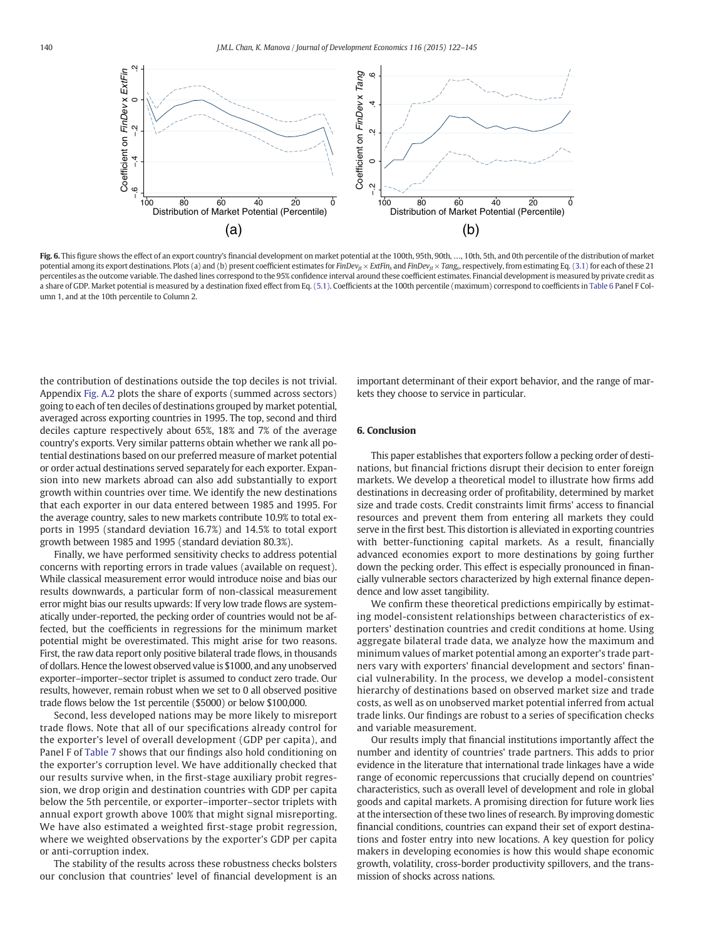<span id="page-18-0"></span>

Fig. 6. This figure shows the effect of an export country's financial development on market potential at the 100th, 95th, 90th, ..., 10th, 5th, and 0th percentile of the distribution of market potential among its export destinations. Plots (a) and (b) present coefficient estimates for FinDev<sub>it</sub> × ExtFin<sub>s</sub> and FinDev<sub>it</sub> × Tang<sub>s</sub>, respectively, from estimating Eq. [\(3.1\)](#page-6-0) for each of these 21 percentiles as the outcome variable. The dashed lines correspond to the 95% confidence interval around these coefficient estimates. Financial development is measured by private credit as a share of GDP. Market potential is measured by a destination fixed effect from Eq. [\(5.1\).](#page-15-0) Coefficients at the 100th percentile (maximum) correspond to coefficients in [Table 6](#page-14-0) Panel F Column 1, and at the 10th percentile to Column 2.

the contribution of destinations outside the top deciles is not trivial. Appendix [Fig. A.2](#page-22-0) plots the share of exports (summed across sectors) going to each of ten deciles of destinations grouped by market potential, averaged across exporting countries in 1995. The top, second and third deciles capture respectively about 65%, 18% and 7% of the average country's exports. Very similar patterns obtain whether we rank all potential destinations based on our preferred measure of market potential or order actual destinations served separately for each exporter. Expansion into new markets abroad can also add substantially to export growth within countries over time. We identify the new destinations that each exporter in our data entered between 1985 and 1995. For the average country, sales to new markets contribute 10.9% to total exports in 1995 (standard deviation 16.7%) and 14.5% to total export growth between 1985 and 1995 (standard deviation 80.3%).

Finally, we have performed sensitivity checks to address potential concerns with reporting errors in trade values (available on request). While classical measurement error would introduce noise and bias our results downwards, a particular form of non-classical measurement error might bias our results upwards: If very low trade flows are systematically under-reported, the pecking order of countries would not be affected, but the coefficients in regressions for the minimum market potential might be overestimated. This might arise for two reasons. First, the raw data report only positive bilateral trade flows, in thousands of dollars. Hence the lowest observed value is \$1000, and any unobserved exporter–importer–sector triplet is assumed to conduct zero trade. Our results, however, remain robust when we set to 0 all observed positive trade flows below the 1st percentile (\$5000) or below \$100,000.

Second, less developed nations may be more likely to misreport trade flows. Note that all of our specifications already control for the exporter's level of overall development (GDP per capita), and Panel F of [Table 7](#page-16-0) shows that our findings also hold conditioning on the exporter's corruption level. We have additionally checked that our results survive when, in the first-stage auxiliary probit regression, we drop origin and destination countries with GDP per capita below the 5th percentile, or exporter–importer–sector triplets with annual export growth above 100% that might signal misreporting. We have also estimated a weighted first-stage probit regression, where we weighted observations by the exporter's GDP per capita or anti-corruption index.

The stability of the results across these robustness checks bolsters our conclusion that countries' level of financial development is an important determinant of their export behavior, and the range of markets they choose to service in particular.

#### 6. Conclusion

This paper establishes that exporters follow a pecking order of destinations, but financial frictions disrupt their decision to enter foreign markets. We develop a theoretical model to illustrate how firms add destinations in decreasing order of profitability, determined by market size and trade costs. Credit constraints limit firms' access to financial resources and prevent them from entering all markets they could serve in the first best. This distortion is alleviated in exporting countries with better-functioning capital markets. As a result, financially advanced economies export to more destinations by going further down the pecking order. This effect is especially pronounced in financially vulnerable sectors characterized by high external finance dependence and low asset tangibility.

We confirm these theoretical predictions empirically by estimating model-consistent relationships between characteristics of exporters' destination countries and credit conditions at home. Using aggregate bilateral trade data, we analyze how the maximum and minimum values of market potential among an exporter's trade partners vary with exporters' financial development and sectors' financial vulnerability. In the process, we develop a model-consistent hierarchy of destinations based on observed market size and trade costs, as well as on unobserved market potential inferred from actual trade links. Our findings are robust to a series of specification checks and variable measurement.

Our results imply that financial institutions importantly affect the number and identity of countries' trade partners. This adds to prior evidence in the literature that international trade linkages have a wide range of economic repercussions that crucially depend on countries' characteristics, such as overall level of development and role in global goods and capital markets. A promising direction for future work lies at the intersection of these two lines of research. By improving domestic financial conditions, countries can expand their set of export destinations and foster entry into new locations. A key question for policy makers in developing economies is how this would shape economic growth, volatility, cross-border productivity spillovers, and the transmission of shocks across nations.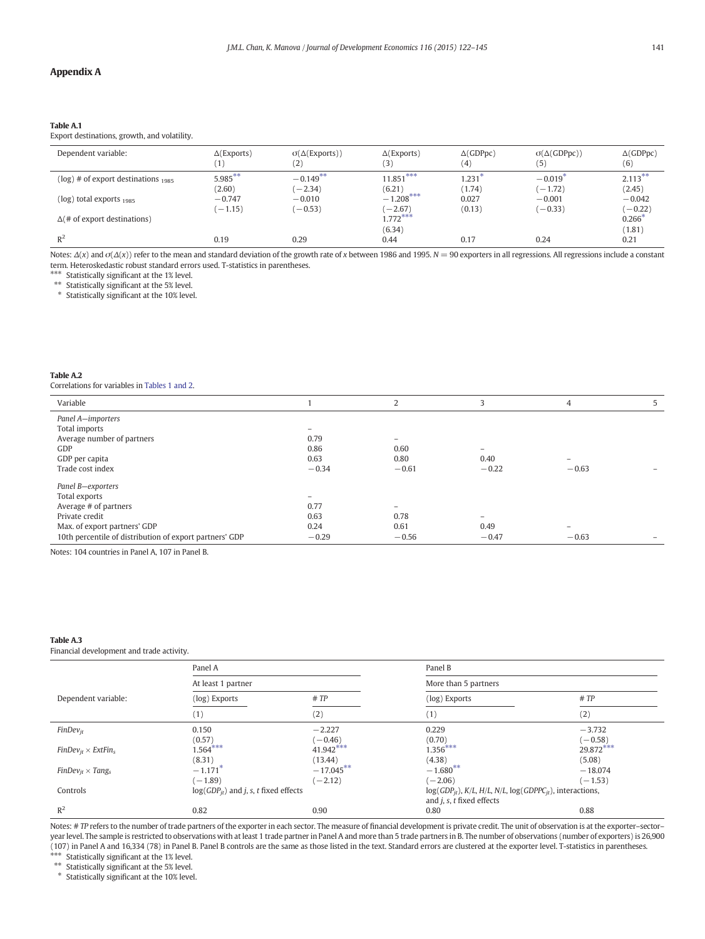### <span id="page-19-0"></span>Appendix A

### Table A.1

Export destinations, growth, and volatility.

| Dependent variable:                         | $\Delta$ (Exports) | $\sigma(\Delta(\text{Exports}))$ | $\Delta$ (Exports) | $\Delta$ (GDPpc) | $\sigma(\Delta(GDPpc))$ | $\Delta$ (GDPpc)     |
|---------------------------------------------|--------------------|----------------------------------|--------------------|------------------|-------------------------|----------------------|
|                                             | (1)                | $\left( 2\right)$                | (3)                | $\left(4\right)$ | (5)                     | (6)                  |
| $(\log)$ # of export destinations $_{1985}$ | $5.985***$         | $-0.149**$                       | $11.851***$        | .231'            | $-0.019^{*}$            | $2.113***$           |
|                                             | (2.60)             | $(-2.34)$                        | (6.21)             | 1.74)            | $(-1.72)$               | (2.45)               |
| $(log)$ total exports $_{1985}$             | $-0.747$           | $-0.010$                         | $-1.208***$        | 0.027            | $-0.001$                | $-0.042$             |
|                                             | $(-1.15)$          | $(-0.53)$                        | $(-2.67)$          | (0.13)           | $(-0.33)$               | $-0.22$              |
| $\Delta$ (# of export destinations)         |                    |                                  | $1.772***$         |                  |                         | $0.266$ <sup>*</sup> |
|                                             |                    |                                  | (6.34)             |                  |                         | (1.81)               |
| $R^2$                                       | 0.19               | 0.29                             | 0.44               | 0.17             | 0.24                    | 0.21                 |

Notes:  $\Delta(x)$  and  $\sigma(\Delta(x))$  refer to the mean and standard deviation of the growth rate of x between 1986 and 1995. N = 90 exporters in all regressions. All regressions include a constant term. Heteroskedastic robust standard errors used. T-statistics in parentheses.

⁎⁎⁎ Statistically significant at the 1% level.

\*\* Statistically significant at the 5% level.

⁎ Statistically significant at the 10% level.

#### Table A.2

Correlations for variables in [Tables 1 and 2.](#page-8-0)

| Variable                                                |                          | $\overline{ }$ |                 | 4                        | 5 |
|---------------------------------------------------------|--------------------------|----------------|-----------------|--------------------------|---|
| Panel A-importers                                       |                          |                |                 |                          |   |
| Total imports                                           | $\overline{\phantom{0}}$ |                |                 |                          |   |
| Average number of partners                              | 0.79                     |                |                 |                          |   |
| GDP                                                     | 0.86                     | 0.60           | $\qquad \qquad$ |                          |   |
| GDP per capita                                          | 0.63                     | 0.80           | 0.40            | $\overline{\phantom{0}}$ |   |
| Trade cost index                                        | $-0.34$                  | $-0.61$        | $-0.22$         | $-0.63$                  |   |
| Panel B-exporters                                       |                          |                |                 |                          |   |
| Total exports                                           | -                        |                |                 |                          |   |
| Average # of partners                                   | 0.77                     |                |                 |                          |   |
| Private credit                                          | 0.63                     | 0.78           |                 |                          |   |
| Max. of export partners' GDP                            | 0.24                     | 0.61           | 0.49            |                          |   |
| 10th percentile of distribution of export partners' GDP | $-0.29$                  | $-0.56$        | $-0.47$         | $-0.63$                  |   |
|                                                         |                          |                |                 |                          |   |

Notes: 104 countries in Panel A, 107 in Panel B.

#### Table A.3

Financial development and trade activity.

|                               | Panel A                                   |              | Panel B                                                            |           |  |
|-------------------------------|-------------------------------------------|--------------|--------------------------------------------------------------------|-----------|--|
| At least 1 partner            |                                           |              | More than 5 partners                                               |           |  |
| Dependent variable:           | (log) Exports                             | #TP          | (log) Exports                                                      | #TP       |  |
|                               | (1)                                       | (2)          | (1)                                                                | (2)       |  |
| $FinDev_{it}$                 | 0.150                                     | $-2.227$     | 0.229                                                              | $-3.732$  |  |
|                               | (0.57)                                    | $(-0.46)$    | (0.70)                                                             | $(-0.58)$ |  |
| $FinDev_{it} \times ExtFin_s$ | $1.564***$                                | 41.942***    | $1.356***$                                                         | 29.872*** |  |
|                               | (8.31)                                    | (13.44)      | (4.38)                                                             | (5.08)    |  |
| $FinDev_{it} \times Tang_{s}$ | $-1.171$ <sup>*</sup>                     | $-17.045***$ | $-1.680**$                                                         | $-18.074$ |  |
|                               | $(-1.89)$                                 | $(-2.12)$    | $(-2.06)$                                                          | $(-1.53)$ |  |
| Controls                      | $log(GDP_{it})$ and j, s, t fixed effects |              | $log(GDP_{it})$ , K/L, H/L, N/L, $log(GDPPC_{it})$ , interactions, |           |  |
|                               |                                           |              | and <i>j</i> , <i>s</i> , <i>t</i> fixed effects                   |           |  |
| $R^2$                         | 0.82                                      | 0.90         | 0.80                                                               | 0.88      |  |

Notes: #TP refers to the number of trade partners of the exporter in each sector. The measure of financial development is private credit. The unit of observation is at the exporter-sectoryear level. The sample is restricted to observations with at least 1 trade partner in Panel A and more than 5 trade partners in B. The number of observations (number of exporters) is 26,900 (107) in Panel A and 16,334 (78) in Panel B. Panel B controls are the same as those listed in the text. Standard errors are clustered at the exporter level. T-statistics in parentheses.

⁎⁎⁎ Statistically significant at the 1% level.

\*\* Statistically significant at the 5% level.

⁎ Statistically significant at the 10% level.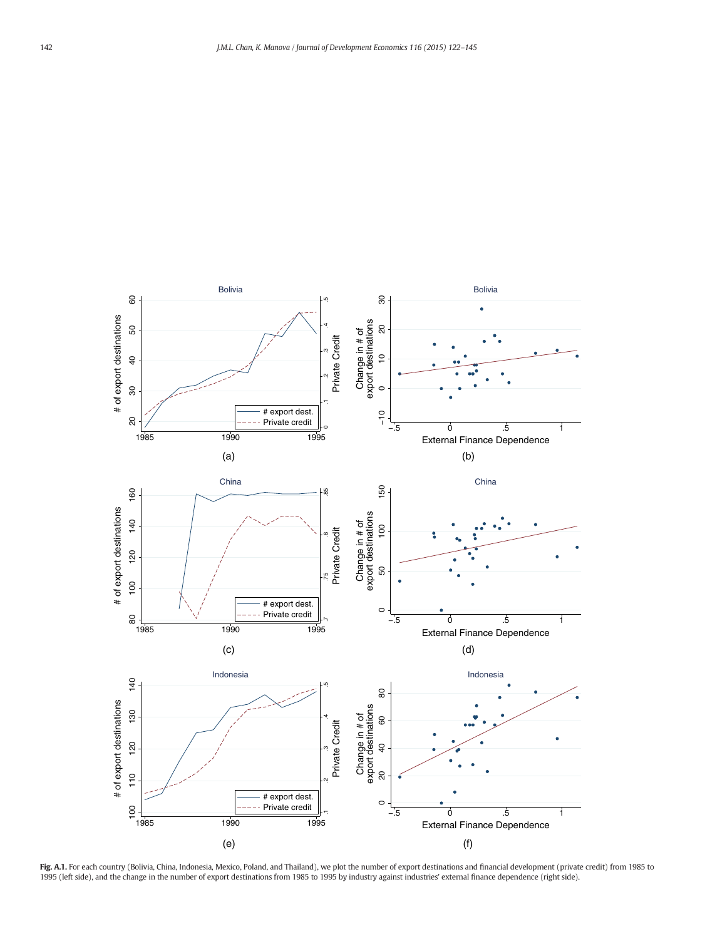<span id="page-20-0"></span>

Fig. A.1. For each country (Bolivia, China, Indonesia, Mexico, Poland, and Thailand), we plot the number of export destinations and financial development (private credit) from 1985 to 1995 (left side), and the change in the number of export destinations from 1985 to 1995 by industry against industries' external finance dependence (right side).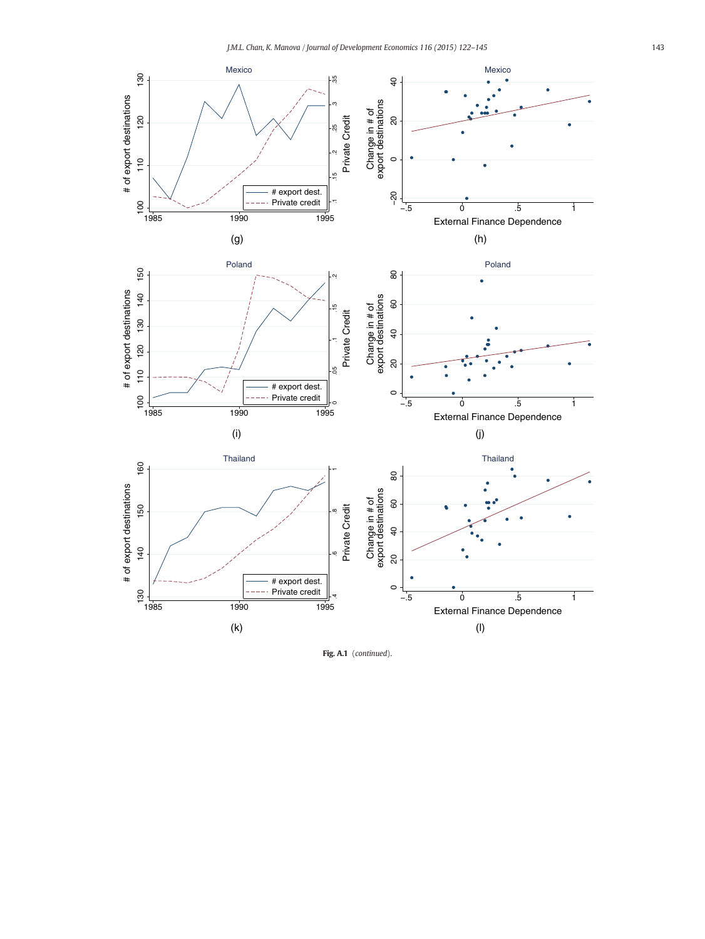

Fig. A.1 (continued).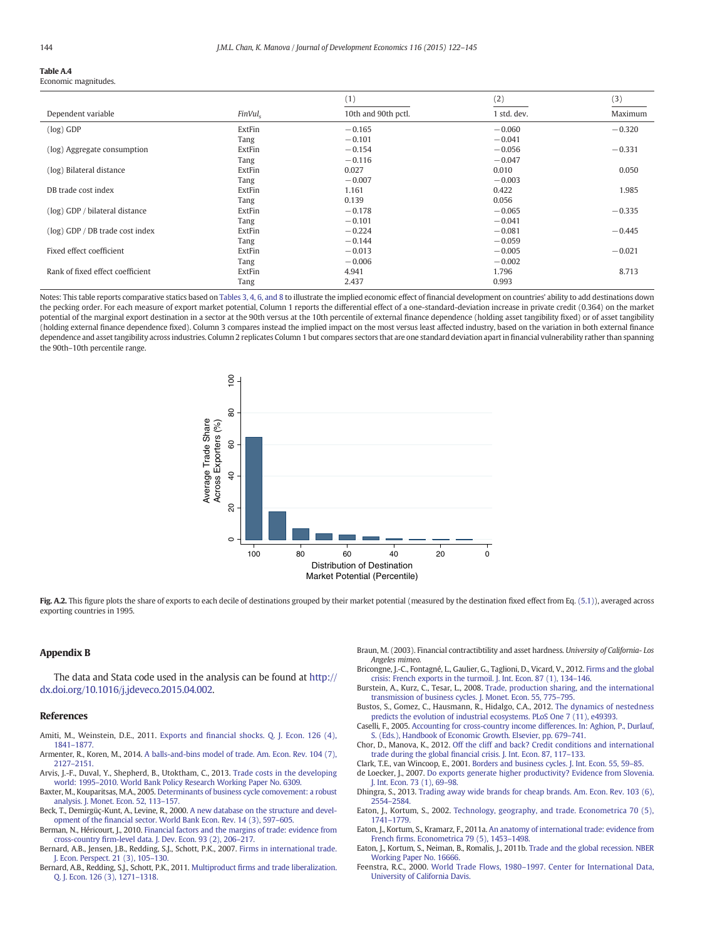### <span id="page-22-0"></span>Table A.4

Economic magnitudes.

|                                  |               | (1)                 | (2)         | (3)      |
|----------------------------------|---------------|---------------------|-------------|----------|
| Dependent variable               | <b>FinVul</b> | 10th and 90th pctl. | 1 std. dev. | Maximum  |
| $(log)$ GDP                      | ExtFin        | $-0.165$            | $-0.060$    | $-0.320$ |
|                                  | Tang          | $-0.101$            | $-0.041$    |          |
| (log) Aggregate consumption      | ExtFin        | $-0.154$            | $-0.056$    | $-0.331$ |
|                                  | Tang          | $-0.116$            | $-0.047$    |          |
| (log) Bilateral distance         | ExtFin        | 0.027               | 0.010       | 0.050    |
|                                  | Tang          | $-0.007$            | $-0.003$    |          |
| DB trade cost index              | ExtFin        | 1.161               | 0.422       | 1.985    |
|                                  | Tang          | 0.139               | 0.056       |          |
| (log) GDP / bilateral distance   | ExtFin        | $-0.178$            | $-0.065$    | $-0.335$ |
|                                  | Tang          | $-0.101$            | $-0.041$    |          |
| (log) GDP / DB trade cost index  | ExtFin        | $-0.224$            | $-0.081$    | $-0.445$ |
|                                  | Tang          | $-0.144$            | $-0.059$    |          |
| Fixed effect coefficient         | ExtFin        | $-0.013$            | $-0.005$    | $-0.021$ |
|                                  | Tang          | $-0.006$            | $-0.002$    |          |
| Rank of fixed effect coefficient | ExtFin        | 4.941               | 1.796       | 8.713    |
|                                  | Tang          | 2.437               | 0.993       |          |

Notes: This table reports comparative statics based on [Tables 3, 4, 6, and 8](#page-10-0) to illustrate the implied economic effect of financial development on countries' ability to add destinations down the pecking order. For each measure of export market potential, Column 1 reports the differential effect of a one-standard-deviation increase in private credit (0.364) on the market potential of the marginal export destination in a sector at the 90th versus at the 10th percentile of external finance dependence (holding asset tangibility fixed) or of asset tangibility (holding external finance dependence fixed). Column 3 compares instead the implied impact on the most versus least affected industry, based on the variation in both external finance dependence and asset tangibility across industries. Column 2 replicates Column 1 but compares sectors that are one standard deviation apart in financial vulnerability rather than spanning the 90th–10th percentile range.



Fig. A.2. This figure plots the share of exports to each decile of destinations grouped by their market potential (measured by the destination fixed effect from Eq. [\(5.1\)](#page-15-0)), averaged across exporting countries in 1995.

#### Appendix B

The data and Stata code used in the analysis can be found at [http://](http://dx.doi.org/10.1016/j.jdeveco.2015.04.002) [dx.doi.org/10.1016/j.jdeveco.2015.04.002](http://dx.doi.org/10.1016/j.jdeveco.2015.04.002).

#### References

- Amiti, M., Weinstein, D.E., 2011. Exports and fi[nancial shocks. Q. J. Econ. 126 \(4\),](http://refhub.elsevier.com/S0304-3878(15)00046-2/rf0005) 1841–[1877.](http://refhub.elsevier.com/S0304-3878(15)00046-2/rf0005)
- Armenter, R., Koren, M., 2014. [A balls-and-bins model of trade. Am. Econ. Rev. 104 \(7\),](http://refhub.elsevier.com/S0304-3878(15)00046-2/rf0010) 2127–[2151.](http://refhub.elsevier.com/S0304-3878(15)00046-2/rf0010)
- Arvis, J.-F., Duval, Y., Shepherd, B., Utoktham, C., 2013. [Trade costs in the developing](http://refhub.elsevier.com/S0304-3878(15)00046-2/rf0180) world: 1995–[2010. World Bank Policy Research Working Paper No. 6309.](http://refhub.elsevier.com/S0304-3878(15)00046-2/rf0180)
- Baxter, M., Kouparitsas, M.A., 2005. [Determinants of business cycle comovement: a robust](http://refhub.elsevier.com/S0304-3878(15)00046-2/rf0015) [analysis. J. Monet. Econ. 52, 113](http://refhub.elsevier.com/S0304-3878(15)00046-2/rf0015)–157.
- Beck, T., Demirgüç-Kunt, A., Levine, R., 2000. [A new database on the structure and devel](http://refhub.elsevier.com/S0304-3878(15)00046-2/rf0020)opment of the fi[nancial sector. World Bank Econ. Rev. 14 \(3\), 597](http://refhub.elsevier.com/S0304-3878(15)00046-2/rf0020)–605.
- Berman, N., Héricourt, J., 2010. [Financial factors and the margins of trade: evidence from](http://refhub.elsevier.com/S0304-3878(15)00046-2/rf0025) cross-country fi[rm-level data. J. Dev. Econ. 93 \(2\), 206](http://refhub.elsevier.com/S0304-3878(15)00046-2/rf0025)–217.
- Bernard, A.B., Jensen, J.B., Redding, S.J., Schott, P.K., 2007. [Firms in international trade.](http://refhub.elsevier.com/S0304-3878(15)00046-2/rf0030) [J. Econ. Perspect. 21 \(3\), 105](http://refhub.elsevier.com/S0304-3878(15)00046-2/rf0030)–130.
- Bernard, A.B., Redding, S.J., Schott, P.K., 2011. Multiproduct fi[rms and trade liberalization.](http://refhub.elsevier.com/S0304-3878(15)00046-2/rf0035) [Q. J. Econ. 126 \(3\), 1271](http://refhub.elsevier.com/S0304-3878(15)00046-2/rf0035)–1318.

Braun, M. (2003). Financial contractibtility and asset hardness. University of California- Los Angeles mimeo.

- Bricongne, J.-C., Fontagné, L., Gaulier, G., Taglioni, D., Vicard, V., 2012. [Firms and the global](http://refhub.elsevier.com/S0304-3878(15)00046-2/rf0045) [crisis: French exports in the turmoil. J. Int. Econ. 87 \(1\), 134](http://refhub.elsevier.com/S0304-3878(15)00046-2/rf0045)–146.
- Burstein, A., Kurz, C., Tesar, L., 2008. [Trade, production sharing, and the international](http://refhub.elsevier.com/S0304-3878(15)00046-2/rf0050) [transmission of business cycles. J. Monet. Econ. 55, 775](http://refhub.elsevier.com/S0304-3878(15)00046-2/rf0050)–795.
- Bustos, S., Gomez, C., Hausmann, R., Hidalgo, C.A., 2012. [The dynamics of nestedness](http://refhub.elsevier.com/S0304-3878(15)00046-2/rf0055) [predicts the evolution of industrial ecosystems. PLoS One 7 \(11\), e49393.](http://refhub.elsevier.com/S0304-3878(15)00046-2/rf0055)
- Caselli, F., 2005. [Accounting for cross-country income differences. In: Aghion, P., Durlauf,](http://refhub.elsevier.com/S0304-3878(15)00046-2/rf0185) [S. \(Eds.\), Handbook of Economic Growth. Elsevier, pp. 679](http://refhub.elsevier.com/S0304-3878(15)00046-2/rf0185)–741.
- Chor, D., Manova, K., 2012. [Off the cliff and back? Credit conditions and international](http://refhub.elsevier.com/S0304-3878(15)00046-2/rf0065) trade during the global fi[nancial crisis. J. Int. Econ. 87, 117](http://refhub.elsevier.com/S0304-3878(15)00046-2/rf0065)–133.
- Clark, T.E., van Wincoop, E., 2001. [Borders and business cycles. J. Int. Econ. 55, 59](http://refhub.elsevier.com/S0304-3878(15)00046-2/rf0070)–85.
- de Loecker, J., 2007. [Do exports generate higher productivity? Evidence from Slovenia.](http://refhub.elsevier.com/S0304-3878(15)00046-2/rf0075) [J. Int. Econ. 73 \(1\), 69](http://refhub.elsevier.com/S0304-3878(15)00046-2/rf0075)–98.
- Dhingra, S., 2013. [Trading away wide brands for cheap brands. Am. Econ. Rev. 103 \(6\),](http://refhub.elsevier.com/S0304-3878(15)00046-2/rf0080) 2554–[2584.](http://refhub.elsevier.com/S0304-3878(15)00046-2/rf0080)
- Eaton, J., Kortum, S., 2002. [Technology, geography, and trade. Econometrica 70 \(5\),](http://refhub.elsevier.com/S0304-3878(15)00046-2/rf0085) 1741–[1779.](http://refhub.elsevier.com/S0304-3878(15)00046-2/rf0085)
- Eaton, J., Kortum, S., Kramarz, F., 2011a. [An anatomy of international trade: evidence from](http://refhub.elsevier.com/S0304-3878(15)00046-2/rf0090) French fi[rms. Econometrica 79 \(5\), 1453](http://refhub.elsevier.com/S0304-3878(15)00046-2/rf0090)–1498.
- Eaton, J., Kortum, S., Neiman, B., Romalis, J., 2011b. [Trade and the global recession. NBER](http://refhub.elsevier.com/S0304-3878(15)00046-2/rf0190) [Working Paper No. 16666](http://refhub.elsevier.com/S0304-3878(15)00046-2/rf0190).
- Feenstra, R.C., 2000. World Trade Flows, 1980–[1997. Center for International Data,](http://refhub.elsevier.com/S0304-3878(15)00046-2/rf0095) [University of California Davis](http://refhub.elsevier.com/S0304-3878(15)00046-2/rf0095).